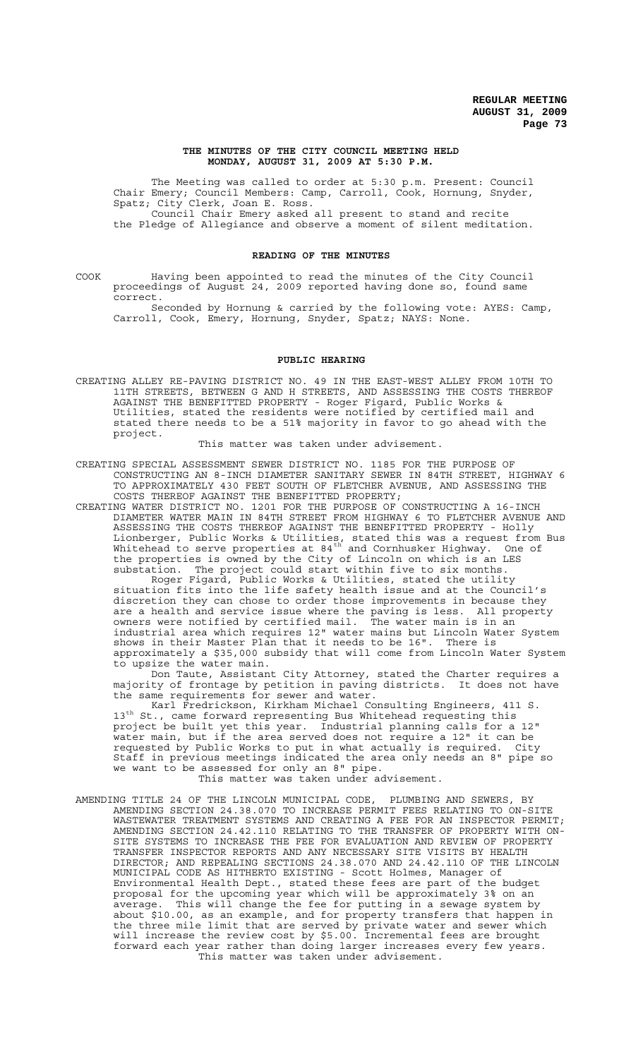#### **THE MINUTES OF THE CITY COUNCIL MEETING HELD MONDAY, AUGUST 31, 2009 AT 5:30 P.M.**

The Meeting was called to order at 5:30 p.m. Present: Council Chair Emery; Council Members: Camp, Carroll, Cook, Hornung, Snyder, Spatz; City Clerk, Joan E. Ross. Council Chair Emery asked all present to stand and recite

the Pledge of Allegiance and observe a moment of silent meditation.

## **READING OF THE MINUTES**

COOK Having been appointed to read the minutes of the City Council proceedings of August 24, 2009 reported having done so, found same correct.

Seconded by Hornung & carried by the following vote: AYES: Camp, Carroll, Cook, Emery, Hornung, Snyder, Spatz; NAYS: None.

#### **PUBLIC HEARING**

CREATING ALLEY RE-PAVING DISTRICT NO. 49 IN THE EAST-WEST ALLEY FROM 10TH TO 11TH STREETS, BETWEEN G AND H STREETS, AND ASSESSING THE COSTS THEREOF AGAINST THE BENEFITTED PROPERTY - Roger Figard, Public Works & Utilities, stated the residents were notified by certified mail and stated there needs to be a 51% majority in favor to go ahead with the project.

This matter was taken under advisement.

CREATING SPECIAL ASSESSMENT SEWER DISTRICT NO. 1185 FOR THE PURPOSE OF CONSTRUCTING AN 8-INCH DIAMETER SANITARY SEWER IN 84TH STREET, HIGHWAY 6 TO APPROXIMATELY 430 FEET SOUTH OF FLETCHER AVENUE, AND ASSESSING THE COSTS THEREOF AGAINST THE BENEFITTED PROPERTY;

CREATING WATER DISTRICT NO. 1201 FOR THE PURPOSE OF CONSTRUCTING A 16-INCH DIAMETER WATER MAIN IN 84TH STREET FROM HIGHWAY 6 TO FLETCHER AVENUE AND ASSESSING THE COSTS THEREOF AGAINST THE BENEFITTED PROPERTY - Holly Lionberger, Public Works & Utilities, stated this was a request from Bus Whitehead to serve properties at 84 $^{\text{th}}$  and Cornhusker Highway. One of the properties is owned by the City of Lincoln on which is an LES substation. The project could start within five to six months.

Roger Figard, Public Works & Utilities, stated the utility situation fits into the life safety health issue and at the Council's discretion they can chose to order those improvements in because they are a health and service issue where the paving is less. All property owners were notified by certified mail. The water main is in an are a nearch and service riside where the paving is ress. This property<br>owners were notified by certified mail. The water main is in an<br>industrial area which requires 12" water mains but Lincoln Water System shows in their Master Plan that it needs to be 16". There is approximately a \$35,000 subsidy that will come from Lincoln Water System to upsize the water main.

Don Taute, Assistant City Attorney, stated the Charter requires a majority of frontage by petition in paving districts. It does not have the same requirements for sewer and water.

Karl Fredrickson, Kirkham Michael Consulting Engineers, 411 S. 13<sup>th</sup> St., came forward representing Bus Whitehead requesting this project be built yet this year. Industrial planning calls for a 12" water main, but if the area served does not require a 12" it can be requested by Public Works to put in what actually is required. City Staff in previous meetings indicated the area only needs an 8" pipe so we want to be assessed for only an 8" pipe. This matter was taken under advisement.

AMENDING TITLE 24 OF THE LINCOLN MUNICIPAL CODE, PLUMBING AND SEWERS, BY AMENDING SECTION 24.38.070 TO INCREASE PERMIT FEES RELATING TO ON-SITE WASTEWATER TREATMENT SYSTEMS AND CREATING A FEE FOR AN INSPECTOR PERMIT; AMENDING SECTION 24.42.110 RELATING TO THE TRANSFER OF PROPERTY WITH ON-SITE SYSTEMS TO INCREASE THE FEE FOR EVALUATION AND REVIEW OF PROPERTY TRANSFER INSPECTOR REPORTS AND ANY NECESSARY SITE VISITS BY HEALTH DIRECTOR; AND REPEALING SECTIONS 24.38.070 AND 24.42.110 OF THE LINCOLN MUNICIPAL CODE AS HITHERTO EXISTING - Scott Holmes, Manager of Environmental Health Dept., stated these fees are part of the budget proposal for the upcoming year which will be approximately 3% on an average. This will change the fee for putting in a sewage system by about \$10.00, as an example, and for property transfers that happen in the three mile limit that are served by private water and sewer which will increase the review cost by \$5.00. Incremental fees are brought forward each year rather than doing larger increases every few years. This matter was taken under advisement.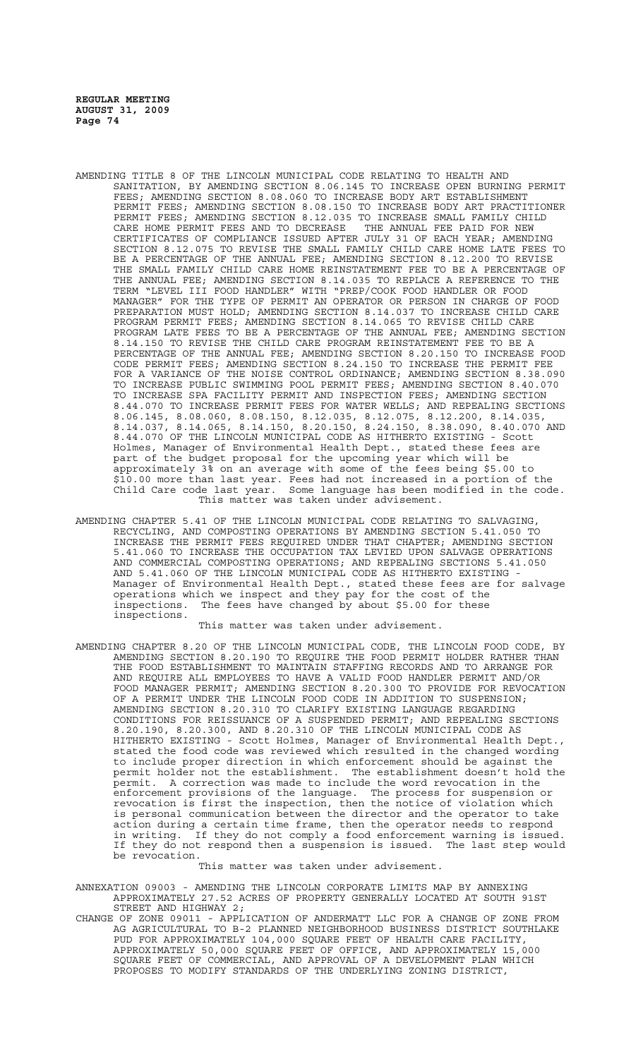- AMENDING TITLE 8 OF THE LINCOLN MUNICIPAL CODE RELATING TO HEALTH AND SANITATION, BY AMENDING SECTION 8.06.145 TO INCREASE OPEN BURNING PERMIT FEES; AMENDING SECTION 8.08.060 TO INCREASE BODY ART ESTABLISHMENT PERMIT FEES; AMENDING SECTION 8.08.150 TO INCREASE BODY ART PRACTITIONER PERMIT FEES; AMENDING SECTION 8.12.035 TO INCREASE SMALL FAMILY CHILD CARE HOME PERMIT FEES AND TO DECREASE THE ANNUAL FEE PAID FOR NEW CERTIFICATES OF COMPLIANCE ISSUED AFTER JULY 31 OF EACH YEAR; AMENDING SECTION 8.12.075 TO REVISE THE SMALL FAMILY CHILD CARE HOME LATE FEES TO BE A PERCENTAGE OF THE ANNUAL FEE; AMENDING SECTION 8.12.200 TO REVISE THE SMALL FAMILY CHILD CARE HOME REINSTATEMENT FEE TO BE A PERCENTAGE OF THE ANNUAL FEE; AMENDING SECTION 8.14.035 TO REPLACE A REFERENCE TO THE TERM "LEVEL III FOOD HANDLER" WITH "PREP/COOK FOOD HANDLER OR FOOD MANAGER" FOR THE TYPE OF PERMIT AN OPERATOR OR PERSON IN CHARGE OF FOOD PREPARATION MUST HOLD; AMENDING SECTION 8.14.037 TO INCREASE CHILD CARE PROGRAM PERMIT FEES; AMENDING SECTION 8.14.065 TO REVISE CHILD CARE PROGRAM LATE FEES TO BE A PERCENTAGE OF THE ANNUAL FEE; AMENDING SECTION 8.14.150 TO REVISE THE CHILD CARE PROGRAM REINSTATEMENT FEE TO BE A PERCENTAGE OF THE ANNUAL FEE; AMENDING SECTION 8.20.150 TO INCREASE FOOD CODE PERMIT FEES; AMENDING SECTION 8.24.150 TO INCREASE THE PERMIT FEE FOR A VARIANCE OF THE NOISE CONTROL ORDINANCE; AMENDING SECTION 8.38.090 TO INCREASE PUBLIC SWIMMING POOL PERMIT FEES; AMENDING SECTION 8.40.070 TO INCREASE SPA FACILITY PERMIT AND INSPECTION FEES; AMENDING SECTION 8.44.070 TO INCREASE PERMIT FEES FOR WATER WELLS; AND REPEALING SECTIONS 8.06.145, 8.08.060, 8.08.150, 8.12.035, 8.12.075, 8.12.200, 8.14.035, 8.14.037, 8.14.065, 8.14.150, 8.20.150, 8.24.150, 8.38.090, 8.40.070 AND 8.44.070 OF THE LINCOLN MUNICIPAL CODE AS HITHERTO EXISTING - Scott Holmes, Manager of Environmental Health Dept., stated these fees are part of the budget proposal for the upcoming year which will be approximately 3% on an average with some of the fees being \$5.00 to \$10.00 more than last year. Fees had not increased in a portion of the Child Care code last year. Some language has been modified in the code. This matter was taken under advisement.
- AMENDING CHAPTER 5.41 OF THE LINCOLN MUNICIPAL CODE RELATING TO SALVAGING, RECYCLING, AND COMPOSTING OPERATIONS BY AMENDING SECTION 5.41.050 TO INCREASE THE PERMIT FEES REQUIRED UNDER THAT CHAPTER; AMENDING SECTION 5.41.060 TO INCREASE THE OCCUPATION TAX LEVIED UPON SALVAGE OPERATIONS AND COMMERCIAL COMPOSTING OPERATIONS; AND REPEALING SECTIONS 5.41.050 AND 5.41.060 OF THE LINCOLN MUNICIPAL CODE AS HITHERTO EXISTING - Manager of Environmental Health Dept., stated these fees are for salvage operations which we inspect and they pay for the cost of the inspections. The fees have changed by about \$5.00 for these inspections.

This matter was taken under advisement.

AMENDING CHAPTER 8.20 OF THE LINCOLN MUNICIPAL CODE, THE LINCOLN FOOD CODE, BY AMENDING SECTION 8.20.190 TO REQUIRE THE FOOD PERMIT HOLDER RATHER THAN THE FOOD ESTABLISHMENT TO MAINTAIN STAFFING RECORDS AND TO ARRANGE FOR AND REQUIRE ALL EMPLOYEES TO HAVE A VALID FOOD HANDLER PERMIT AND/OR FOOD MANAGER PERMIT; AMENDING SECTION 8.20.300 TO PROVIDE FOR REVOCATION OF A PERMIT UNDER THE LINCOLN FOOD CODE IN ADDITION TO SUSPENSION; AMENDING SECTION 8.20.310 TO CLARIFY EXISTING LANGUAGE REGARDING CONDITIONS FOR REISSUANCE OF A SUSPENDED PERMIT; AND REPEALING SECTIONS 8.20.190, 8.20.300, AND 8.20.310 OF THE LINCOLN MUNICIPAL CODE AS HITHERTO EXISTING - Scott Holmes, Manager of Environmental Health Dept., stated the food code was reviewed which resulted in the changed wording to include proper direction in which enforcement should be against the permit holder not the establishment. The establishment doesn't hold the permit. A correction was made to include the word revocation in the enforcement provisions of the language. The process for suspension or revocation is first the inspection, then the notice of violation which is personal communication between the director and the operator to take action during a certain time frame, then the operator needs to respond in writing. If they do not comply a food enforcement warning is issued. If they do not respond then a suspension is issued. The last step would be revocation.

#### This matter was taken under advisement.

- ANNEXATION 09003 AMENDING THE LINCOLN CORPORATE LIMITS MAP BY ANNEXING APPROXIMATELY 27.52 ACRES OF PROPERTY GENERALLY LOCATED AT SOUTH 91ST STREET AND HIGHWAY 2;
- CHANGE OF ZONE 09011 APPLICATION OF ANDERMATT LLC FOR A CHANGE OF ZONE FROM AG AGRICULTURAL TO B-2 PLANNED NEIGHBORHOOD BUSINESS DISTRICT SOUTHLAKE PUD FOR APPROXIMATELY 104,000 SQUARE FEET OF HEALTH CARE FACILITY, APPROXIMATELY 50,000 SQUARE FEET OF OFFICE, AND APPROXIMATELY 15,000 SQUARE FEET OF COMMERCIAL, AND APPROVAL OF A DEVELOPMENT PLAN WHICH PROPOSES TO MODIFY STANDARDS OF THE UNDERLYING ZONING DISTRICT,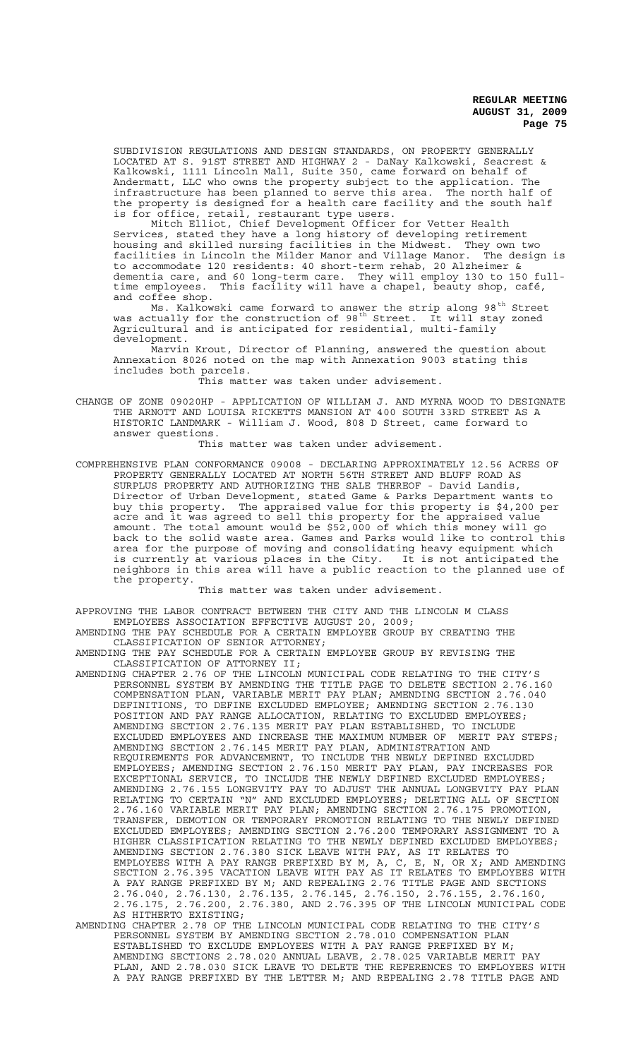SUBDIVISION REGULATIONS AND DESIGN STANDARDS, ON PROPERTY GENERALLY LOCATED AT S. 91ST STREET AND HIGHWAY 2 - DaNay Kalkowski, Seacrest & Kalkowski, 1111 Lincoln Mall, Suite 350, came forward on behalf of Andermatt, LLC who owns the property subject to the application. The infrastructure has been planned to serve this area. The north half of the property is designed for a health care facility and the south half is for office, retail, restaurant type users.

Mitch Elliot, Chief Development Officer for Vetter Health Services, stated they have a long history of developing retirement housing and skilled nursing facilities in the Midwest. They own two facilities in Lincoln the Milder Manor and Village Manor. The design is to accommodate 120 residents: 40 short-term rehab, 20 Alzheimer & dementia care, and 60 long-term care. They will employ 130 to 150 fulltime employees. This facility will have a chapel, beauty shop, café, time employees.<br>and coffee shop.

Ms. Kalkowski came forward to answer the strip along 98<sup>th</sup> Street was actually for the construction of 98<sup>th</sup> Street. It will stay zoned Agricultural and is anticipated for residential, multi-family development.

Marvin Krout, Director of Planning, answered the question about Annexation 8026 noted on the map with Annexation 9003 stating this includes both parcels.

This matter was taken under advisement.

CHANGE OF ZONE 09020HP - APPLICATION OF WILLIAM J. AND MYRNA WOOD TO DESIGNATE THE ARNOTT AND LOUISA RICKETTS MANSION AT 400 SOUTH 33RD STREET AS A HISTORIC LANDMARK - William J. Wood, 808 D Street, came forward to answer questions.

This matter was taken under advisement.

COMPREHENSIVE PLAN CONFORMANCE 09008 - DECLARING APPROXIMATELY 12.56 ACRES OF PROPERTY GENERALLY LOCATED AT NORTH 56TH STREET AND BLUFF ROAD AS SURPLUS PROPERTY AND AUTHORIZING THE SALE THEREOF - David Landis, Director of Urban Development, stated Game & Parks Department wants to buy this property. The appraised value for this property is \$4,200 per acre and it was agreed to sell this property for the appraised value amount. The total amount would be \$52,000 of which this money will go back to the solid waste area. Games and Parks would like to control this area for the purpose of moving and consolidating heavy equipment which is currently at various places in the City. It is not anticipated the neighbors in this area will have a public reaction to the planned use of the property.

This matter was taken under advisement.

APPROVING THE LABOR CONTRACT BETWEEN THE CITY AND THE LINCOLN M CLASS EMPLOYEES ASSOCIATION EFFECTIVE AUGUST 20, 2009; AMENDING THE PAY SCHEDULE FOR A CERTAIN EMPLOYEE GROUP BY CREATING THE

CLASSIFICATION OF SENIOR ATTORNEY; AMENDING THE PAY SCHEDULE FOR A CERTAIN EMPLOYEE GROUP BY REVISING THE

- CLASSIFICATION OF ATTORNEY II; AMENDING CHAPTER 2.76 OF THE LINCOLN MUNICIPAL CODE RELATING TO THE CITY'S
- PERSONNEL SYSTEM BY AMENDING THE TITLE PAGE TO DELETE SECTION 2.76.160 COMPENSATION PLAN, VARIABLE MERIT PAY PLAN; AMENDING SECTION 2.76.040 DEFINITIONS, TO DEFINE EXCLUDED EMPLOYEE; AMENDING SECTION 2.76.130<br>POSITION AND PAY RANGE ALLOCATION, RELATING TO EXCLUDED EMPLOYEES; POSITION AND PAY RANGE ALLOCATION, RELATING TO EXCLUDED EMPLOYEES; AMENDING SECTION 2.76.135 MERIT PAY PLAN ESTABLISHED, TO INCLUDE EXCLUDED EMPLOYEES AND INCREASE THE MAXIMUM NUMBER OF MERIT PAY STEPS; AMENDING SECTION 2.76.145 MERIT PAY PLAN, ADMINISTRATION AND REQUIREMENTS FOR ADVANCEMENT, TO INCLUDE THE NEWLY DEFINED EXCLUDED EMPLOYEES; AMENDING SECTION 2.76.150 MERIT PAY PLAN, PAY INCREASES FOR EXCEPTIONAL SERVICE, TO INCLUDE THE NEWLY DEFINED EXCLUDED EMPLOYEES; AMENDING 2.76.155 LONGEVITY PAY TO ADJUST THE ANNUAL LONGEVITY PAY PLAN RELATING TO CERTAIN "N" AND EXCLUDED EMPLOYEES; DELETING ALL OF SECTION 2.76.160 VARIABLE MERIT PAY PLAN; AMENDING SECTION 2.76.175 PROMOTION, TRANSFER, DEMOTION OR TEMPORARY PROMOTION RELATING TO THE NEWLY DEFINED EXCLUDED EMPLOYEES; AMENDING SECTION 2.76.200 TEMPORARY ASSIGNMENT TO A HIGHER CLASSIFICATION RELATING TO THE NEWLY DEFINED EXCLUDED EMPLOYEES; AMENDING SECTION 2.76.380 SICK LEAVE WITH PAY, AS IT RELATES TO EMPLOYEES WITH A PAY RANGE PREFIXED BY M, A, C, E, N, OR X; AND AMENDING SECTION 2.76.395 VACATION LEAVE WITH PAY AS IT RELATES TO EMPLOYEES WITH A PAY RANGE PREFIXED BY M; AND REPEALING 2.76 TITLE PAGE AND SECTIONS 2.76.040, 2.76.130, 2.76.135, 2.76.145, 2.76.150, 2.76.155, 2.76.160, 2.76.175, 2.76.200, 2.76.380, AND 2.76.395 OF THE LINCOLN MUNICIPAL CODE AS HITHERTO EXISTING;

AMENDING CHAPTER 2.78 OF THE LINCOLN MUNICIPAL CODE RELATING TO THE CITY'S PERSONNEL SYSTEM BY AMENDING SECTION 2.78.010 COMPENSATION PLAN ESTABLISHED TO EXCLUDE EMPLOYEES WITH A PAY RANGE PREFIXED BY M; AMENDING SECTIONS 2.78.020 ANNUAL LEAVE, 2.78.025 VARIABLE MERIT PAY PLAN, AND 2.78.030 SICK LEAVE TO DELETE THE REFERENCES TO EMPLOYEES WITH A PAY RANGE PREFIXED BY THE LETTER M; AND REPEALING 2.78 TITLE PAGE AND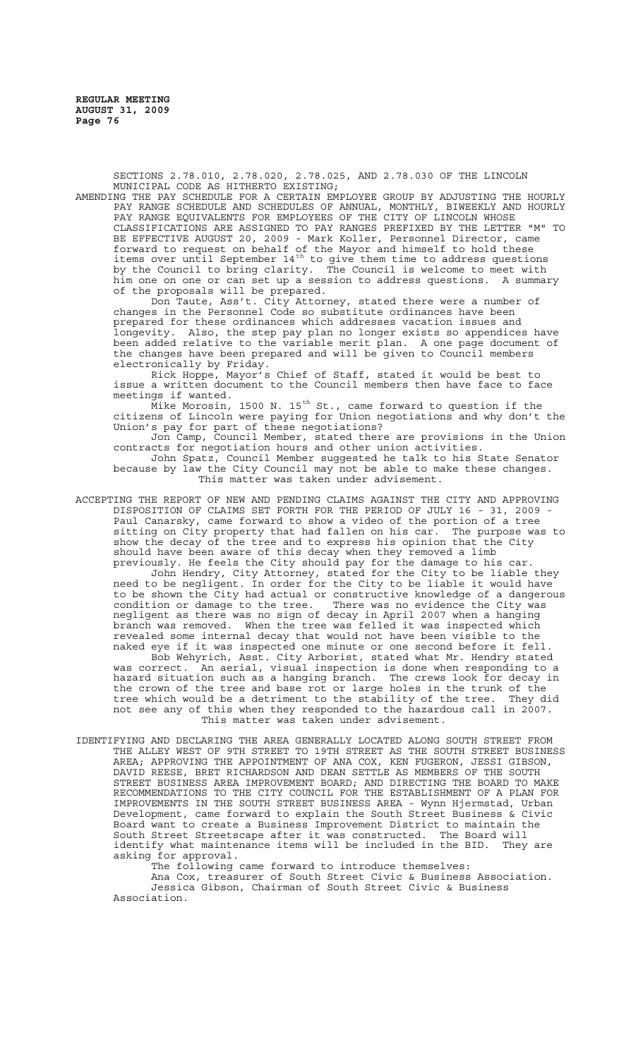SECTIONS 2.78.010, 2.78.020, 2.78.025, AND 2.78.030 OF THE LINCOLN MUNICIPAL CODE AS HITHERTO EXISTING;

AMENDING THE PAY SCHEDULE FOR A CERTAIN EMPLOYEE GROUP BY ADJUSTING THE HOURLY PAY RANGE SCHEDULE AND SCHEDULES OF ANNUAL, MONTHLY, BIWEEKLY AND HOURLY PAY RANGE EQUIVALENTS FOR EMPLOYEES OF THE CITY OF LINCOLN WHOSE CLASSIFICATIONS ARE ASSIGNED TO PAY RANGES PREFIXED BY THE LETTER "M" TO BE EFFECTIVE AUGUST 20, 2009 - Mark Koller, Personnel Director, came forward to request on behalf of the Mayor and himself to hold these items over until September  $14^{\text{th}}$  to give them time to address questions by the Council to bring clarity. The Council is welcome to meet with him one on one or can set up a session to address questions. A summary of the proposals will be prepared.

Don Taute, Ass't. City Attorney, stated there were a number of changes in the Personnel Code so substitute ordinances have been prepared for these ordinances which addresses vacation issues and longevity. Also, the step pay plan no longer exists so appendices have been added relative to the variable merit plan. A one page document of the changes have been prepared and will be given to Council members electronically by Friday.

Rick Hoppe, Mayor's Chief of Staff, stated it would be best to issue a written document to the Council members then have face to face meetings if wanted.

 $\rm\breve{M}$ ike Morosin, 1500 N. 15 $\rm\thinspace^{th}$  St., came forward to question if the citizens of Lincoln were paying for Union negotiations and why don't the Union's pay for part of these negotiations?<br>Jon Camp, Council Member, stated there

Council Member, stated there are provisions in the Union contracts for negotiation hours and other union activities. John Spatz, Council Member suggested he talk to his State Senator because by law the City Council may not be able to make these changes. This matter was taken under advisement.

ACCEPTING THE REPORT OF NEW AND PENDING CLAIMS AGAINST THE CITY AND APPROVING DISPOSITION OF CLAIMS SET FORTH FOR THE PERIOD OF JULY 16 - 31, 2009 - Paul Canarsky, came forward to show a video of the portion of a tree sitting on City property that had fallen on his car. The purpose was to show the decay of the tree and to express his opinion that the City should have been aware of this decay when they removed a limb previously. He feels the City should pay for the damage to his car.

John Hendry, City Attorney, stated for the City to be liable they need to be negligent. In order for the City to be liable it would have to be shown the City had actual or constructive knowledge of a dangerous condition or damage to the tree. There was no evidence the City was negligent as there was no sign of decay in April 2007 when a hanging branch was removed. When the tree was felled it was inspected which revealed some internal decay that would not have been visible to the naked eye if it was inspected one minute or one second before it fell.

Bob Wehyrich, Asst. City Arborist, stated what Mr. Hendry stated was correct. An aerial, visual inspection is done when responding to a hazard situation such as a hanging branch. The crews look for decay in the crown of the tree and base rot or large holes in the trunk of the tree which would be a detriment to the stability of the tree. They did not see any of this when they responded to the hazardous call in 2007. This matter was taken under advisement.

IDENTIFYING AND DECLARING THE AREA GENERALLY LOCATED ALONG SOUTH STREET FROM THE ALLEY WEST OF 9TH STREET TO 19TH STREET AS THE SOUTH STREET BUSINESS AREA; APPROVING THE APPOINTMENT OF ANA COX, KEN FUGERON, JESSI GIBSON, DAVID REESE, BRET RICHARDSON AND DEAN SETTLE AS MEMBERS OF THE SOUTH STREET BUSINESS AREA IMPROVEMENT BOARD; AND DIRECTING THE BOARD TO MAKE RECOMMENDATIONS TO THE CITY COUNCIL FOR THE ESTABLISHMENT OF A PLAN FOR IMPROVEMENTS IN THE SOUTH STREET BUSINESS AREA - Wynn Hjermstad, Urban Development, came forward to explain the South Street Business & Civic Board want to create a Business Improvement District to maintain the South Street Streetscape after it was constructed. The Board will identify what maintenance items will be included in the BID. They are asking for approval.

The following came forward to introduce themselves:

Ana Cox, treasurer of South Street Civic & Business Association. Jessica Gibson, Chairman of South Street Civic & Business Association.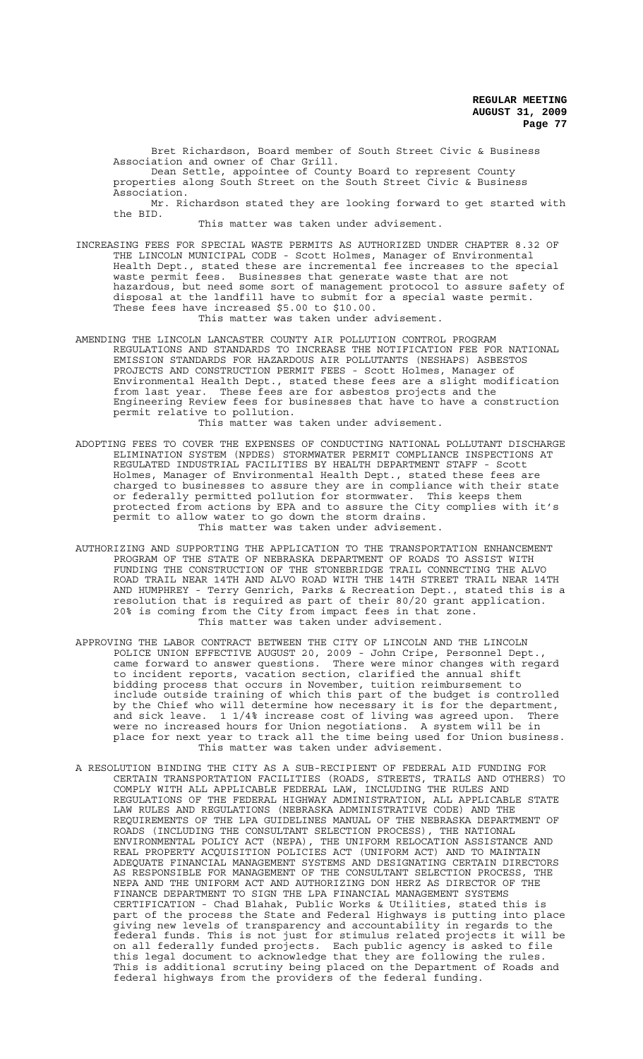Bret Richardson, Board member of South Street Civic & Business Association and owner of Char Grill. Dean Settle, appointee of County Board to represent County

properties along South Street on the South Street Civic & Business Association.

Mr. Richardson stated they are looking forward to get started with the BID.

This matter was taken under advisement.

INCREASING FEES FOR SPECIAL WASTE PERMITS AS AUTHORIZED UNDER CHAPTER 8.32 OF THE LINCOLN MUNICIPAL CODE - Scott Holmes, Manager of Environmental Health Dept., stated these are incremental fee increases to the special waste permit fees. Businesses that generate waste that are not hazardous, but need some sort of management protocol to assure safety of disposal at the landfill have to submit for a special waste permit. These fees have increased \$5.00 to \$10.00.

This matter was taken under advisement.

- AMENDING THE LINCOLN LANCASTER COUNTY AIR POLLUTION CONTROL PROGRAM REGULATIONS AND STANDARDS TO INCREASE THE NOTIFICATION FEE FOR NATIONAL EMISSION STANDARDS FOR HAZARDOUS AIR POLLUTANTS (NESHAPS) ASBESTOS PROJECTS AND CONSTRUCTION PERMIT FEES - Scott Holmes, Manager of Environmental Health Dept., stated these fees are a slight modification from last year. These fees are for asbestos projects and the Engineering Review fees for businesses that have to have a construction permit relative to pollution. This matter was taken under advisement.
- ADOPTING FEES TO COVER THE EXPENSES OF CONDUCTING NATIONAL POLLUTANT DISCHARGE ELIMINATION SYSTEM (NPDES) STORMWATER PERMIT COMPLIANCE INSPECTIONS AT REGULATED INDUSTRIAL FACILITIES BY HEALTH DEPARTMENT STAFF - Scott Holmes, Manager of Environmental Health Dept., stated these fees are charged to businesses to assure they are in compliance with their state or federally permitted pollution for stormwater. This keeps them protected from actions by EPA and to assure the City complies with it's permit to allow water to go down the storm drains. This matter was taken under advisement.
- AUTHORIZING AND SUPPORTING THE APPLICATION TO THE TRANSPORTATION ENHANCEMENT PROGRAM OF THE STATE OF NEBRASKA DEPARTMENT OF ROADS TO ASSIST WITH FUNDING THE CONSTRUCTION OF THE STONEBRIDGE TRAIL CONNECTING THE ALVO ROAD TRAIL NEAR 14TH AND ALVO ROAD WITH THE 14TH STREET TRAIL NEAR 14TH AND HUMPHREY - Terry Genrich, Parks & Recreation Dept., stated this is a resolution that is required as part of their 80/20 grant application. 20% is coming from the City from impact fees in that zone. This matter was taken under advisement.
- APPROVING THE LABOR CONTRACT BETWEEN THE CITY OF LINCOLN AND THE LINCOLN POLICE UNION EFFECTIVE AUGUST 20, 2009 - John Cripe, Personnel Dept., came forward to answer questions. There were minor changes with regard to incident reports, vacation section, clarified the annual shift bidding process that occurs in November, tuition reimbursement to include outside training of which this part of the budget is controlled by the Chief who will determine how necessary it is for the department, and sick leave. 1 1/4% increase cost of living was agreed upon. There were no increased hours for Union negotiations. A system will be in were no increased hours for Union negotiations. place for next year to track all the time being used for Union business. This matter was taken under advisement.
- A RESOLUTION BINDING THE CITY AS A SUB-RECIPIENT OF FEDERAL AID FUNDING FOR CERTAIN TRANSPORTATION FACILITIES (ROADS, STREETS, TRAILS AND OTHERS) TO COMPLY WITH ALL APPLICABLE FEDERAL LAW, INCLUDING THE RULES AND REGULATIONS OF THE FEDERAL HIGHWAY ADMINISTRATION, ALL APPLICABLE STATE LAW RULES AND REGULATIONS (NEBRASKA ADMINISTRATIVE CODE) AND THE REQUIREMENTS OF THE LPA GUIDELINES MANUAL OF THE NEBRASKA DEPARTMENT OF ROADS (INCLUDING THE CONSULTANT SELECTION PROCESS), THE NATIONAL ENVIRONMENTAL POLICY ACT (NEPA), THE UNIFORM RELOCATION ASSISTANCE AND REAL PROPERTY ACQUISITION POLICIES ACT (UNIFORM ACT) AND TO MAINTAIN ADEQUATE FINANCIAL MANAGEMENT SYSTEMS AND DESIGNATING CERTAIN DIRECTORS AS RESPONSIBLE FOR MANAGEMENT OF THE CONSULTANT SELECTION PROCESS, THE NEPA AND THE UNIFORM ACT AND AUTHORIZING DON HERZ AS DIRECTOR OF THE FINANCE DEPARTMENT TO SIGN THE LPA FINANCIAL MANAGEMENT SYSTEMS CERTIFICATION - Chad Blahak, Public Works & Utilities, stated this is part of the process the State and Federal Highways is putting into place giving new levels of transparency and accountability in regards to the federal funds. This is not just for stimulus related projects it will be on all federally funded projects. Each public agency is asked to file this legal document to acknowledge that they are following the rules. This is additional scrutiny being placed on the Department of Roads and federal highways from the providers of the federal funding.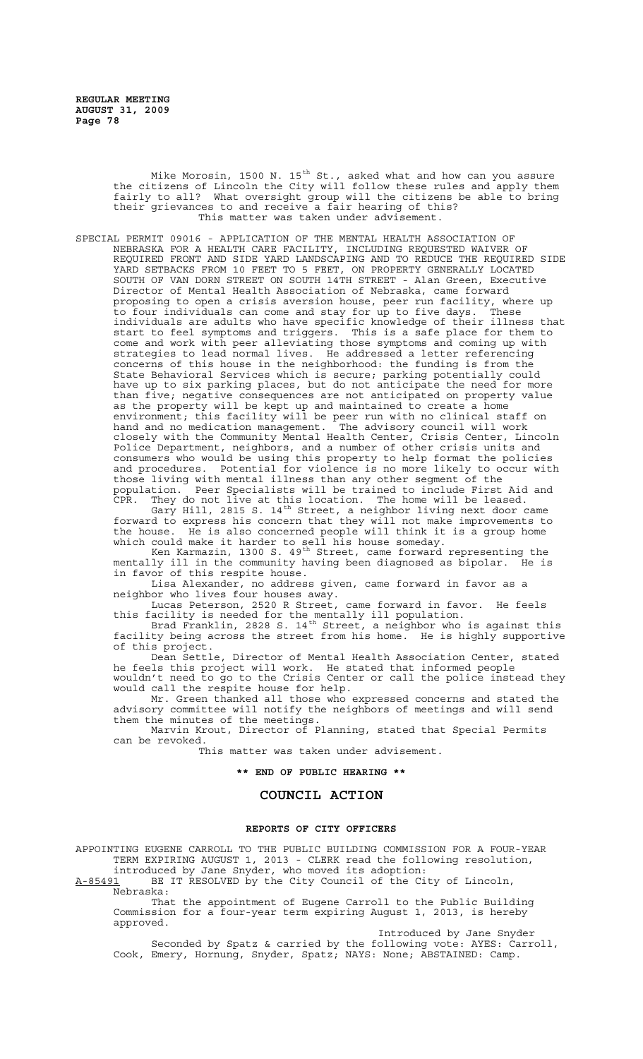Mike Morosin, 1500 N. 15 $^{\rm th}$  St., asked what and how can you assure the citizens of Lincoln the City will follow these rules and apply them fairly to all? What oversight group will the citizens be able to bring their grievances to and receive a fair hearing of this? This matter was taken under advisement.

SPECIAL PERMIT 09016 - APPLICATION OF THE MENTAL HEALTH ASSOCIATION OF NEBRASKA FOR A HEALTH CARE FACILITY, INCLUDING REQUESTED WAIVER OF REQUIRED FRONT AND SIDE YARD LANDSCAPING AND TO REDUCE THE REQUIRED SIDE YARD SETBACKS FROM 10 FEET TO 5 FEET, ON PROPERTY GENERALLY LOCATED SOUTH OF VAN DORN STREET ON SOUTH 14TH STREET - Alan Green, Executive Director of Mental Health Association of Nebraska, came forward proposing to open a crisis aversion house, peer run facility, where up to four individuals can come and stay for up to five days. These individuals are adults who have specific knowledge of their illness that start to feel symptoms and triggers. This is a safe place for them to come and work with peer alleviating those symptoms and coming up with strategies to lead normal lives. He addressed a letter referencing concerns of this house in the neighborhood: the funding is from the State Behavioral Services which is secure; parking potentially could have up to six parking places, but do not anticipate the need for more than five; negative consequences are not anticipated on property value as the property will be kept up and maintained to create a home environment; this facility will be peer run with no clinical staff on hand and no medication management. The advisory council will work closely with the Community Mental Health Center, Crisis Center, Lincoln Police Department, neighbors, and a number of other crisis units and consumers who would be using this property to help format the policies and procedures. Potential for violence is no more likely to occur with those living with mental illness than any other segment of the population. Peer Specialists will be trained to include First Aid and CPR. They do not live at this location. The home will be leased.

Gary Hill, 2815 S. 14<sup>th</sup> Street, a neighbor living next door came forward to express his concern that they will not make improvements to the house. He is also concerned people will think it is a group home which could make it harder to sell his house someday.

Ken Karmazin, 1300 S. 49<sup>th</sup> Street, came forward representing the mentally ill in the community having been diagnosed as bipolar. He is in favor of this respite house.

Lisa Alexander, no address given, came forward in favor as a neighbor who lives four houses away.

Lucas Peterson, 2520 R Street, came forward in favor. He feels this facility is needed for the mentally ill population.

Brad Franklin, 2828 S. 14<sup>th</sup> Street, a neighbor who is against this facility being across the street from his home. He is highly supportive of this project.

Dean Settle, Director of Mental Health Association Center, stated he feels this project will work. He stated that informed people wouldn't need to go to the Crisis Center or call the police instead they would call the respite house for help.

Mr. Green thanked all those who expressed concerns and stated the advisory committee will notify the neighbors of meetings and will send them the minutes of the meetings.

Marvin Krout, Director of Planning, stated that Special Permits can be revoked.

This matter was taken under advisement.

**\*\* END OF PUBLIC HEARING \*\***

# **COUNCIL ACTION**

#### **REPORTS OF CITY OFFICERS**

APPOINTING EUGENE CARROLL TO THE PUBLIC BUILDING COMMISSION FOR A FOUR-YEAR TERM EXPIRING AUGUST 1, 2013 - CLERK read the following resolution, introduced by Jane Snyder, who moved its adoption:

A-85491 BE IT RESOLVED by the City Council of the City of Lincoln, Nebraska:

That the appointment of Eugene Carroll to the Public Building Commission for a four-year term expiring August 1, 2013, is hereby approved.

Introduced by Jane Snyder

Seconded by Spatz & carried by the following vote: AYES: Carroll, Cook, Emery, Hornung, Snyder, Spatz; NAYS: None; ABSTAINED: Camp.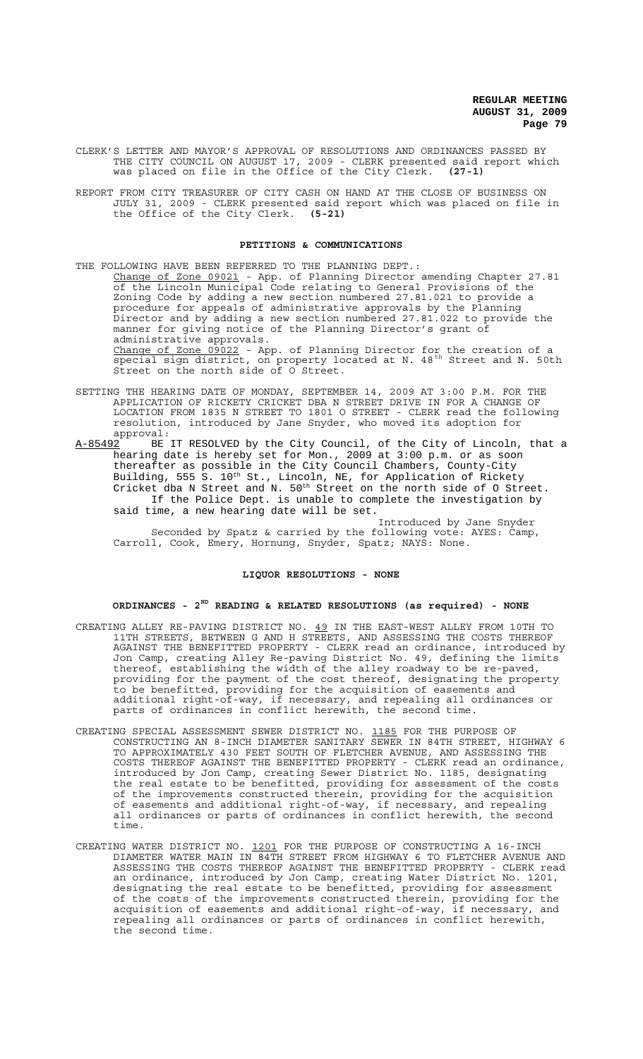CLERK'S LETTER AND MAYOR'S APPROVAL OF RESOLUTIONS AND ORDINANCES PASSED BY THE CITY COUNCIL ON AUGUST 17, 2009 - CLERK presented said report which was placed on file in the Office of the City Clerk. **(27-1)**

REPORT FROM CITY TREASURER OF CITY CASH ON HAND AT THE CLOSE OF BUSINESS ON JULY 31, 2009 - CLERK presented said report which was placed on file in the Office of the City Clerk. **(5-21)**

#### **PETITIONS & COMMUNICATIONS**

THE FOLLOWING HAVE BEEN REFERRED TO THE PLANNING DEPT.: Change of Zone 09021 - App. of Planning Director amending Chapter 27.81 of the Lincoln Municipal Code relating to General Provisions of the Zoning Code by adding a new section numbered 27.81.021 to provide a procedure for appeals of administrative approvals by the Planning Director and by adding a new section numbered 27.81.022 to provide the manner for giving notice of the Planning Director's grant of administrative approvals. Change of Zone 09022 - App. of Planning Director for the creation of a special sign district, on property located at N. 48<sup>th</sup> Street and N. 50th Street on the north side of O Street.

- SETTING THE HEARING DATE OF MONDAY, SEPTEMBER 14, 2009 AT 3:00 P.M. FOR THE APPLICATION OF RICKETY CRICKET DBA N STREET DRIVE IN FOR A CHANGE OF LOCATION FROM 1835 N STREET TO 1801 O STREET - CLERK read the following resolution, introduced by Jane Snyder, who moved its adoption for
- approval:<br><u>A-85492</u> BE BE IT RESOLVED by the City Council, of the City of Lincoln, that a hearing date is hereby set for Mon., 2009 at 3:00 p.m. or as soon thereafter as possible in the City Council Chambers, County-City Building, 555 S. 10<sup>th</sup> St., Lincoln, NE, for Application of Rickety Cricket dba N Street and N. 50th Street on the north side of O Street. If the Police Dept. is unable to complete the investigation by said time, a new hearing date will be set.
	- Introduced by Jane Snyder Seconded by Spatz & carried by the following vote: AYES: Camp, Carroll, Cook, Emery, Hornung, Snyder, Spatz; NAYS: None.

#### **LIQUOR RESOLUTIONS - NONE**

# **ORDINANCES - 2ND READING & RELATED RESOLUTIONS (as required) - NONE**

- CREATING ALLEY RE-PAVING DISTRICT NO. 49 IN THE EAST-WEST ALLEY FROM 10TH TO 11TH STREETS, BETWEEN G AND H STREETS, AND ASSESSING THE COSTS THEREOF AGAINST THE BENEFITTED PROPERTY - CLERK read an ordinance, introduced by Jon Camp, creating Alley Re-paving District No. 49, defining the limits thereof, establishing the width of the alley roadway to be re-paved, providing for the payment of the cost thereof, designating the property to be benefitted, providing for the acquisition of easements and additional right-of-way, if necessary, and repealing all ordinances or parts of ordinances in conflict herewith, the second time.
- CREATING SPECIAL ASSESSMENT SEWER DISTRICT NO. 1185 FOR THE PURPOSE OF CONSTRUCTING AN 8-INCH DIAMETER SANITARY SEWER IN 84TH STREET, HIGHWAY 6 TO APPROXIMATELY 430 FEET SOUTH OF FLETCHER AVENUE, AND ASSESSING THE COSTS THEREOF AGAINST THE BENEFITTED PROPERTY - CLERK read an ordinance, introduced by Jon Camp, creating Sewer District No. 1185, designating the real estate to be benefitted, providing for assessment of the costs of the improvements constructed therein, providing for the acquisition of easements and additional right-of-way, if necessary, and repealing all ordinances or parts of ordinances in conflict herewith, the second time.
- CREATING WATER DISTRICT NO. 1201 FOR THE PURPOSE OF CONSTRUCTING A 16-INCH DIAMETER WATER MAIN IN 84TH STREET FROM HIGHWAY 6 TO FLETCHER AVENUE AND ASSESSING THE COSTS THEREOF AGAINST THE BENEFITTED PROPERTY - CLERK read an ordinance, introduced by Jon Camp, creating Water District No. 1201, designating the real estate to be benefitted, providing for assessment of the costs of the improvements constructed therein, providing for the acquisition of easements and additional right-of-way, if necessary, and repealing all ordinances or parts of ordinances in conflict herewith, the second time.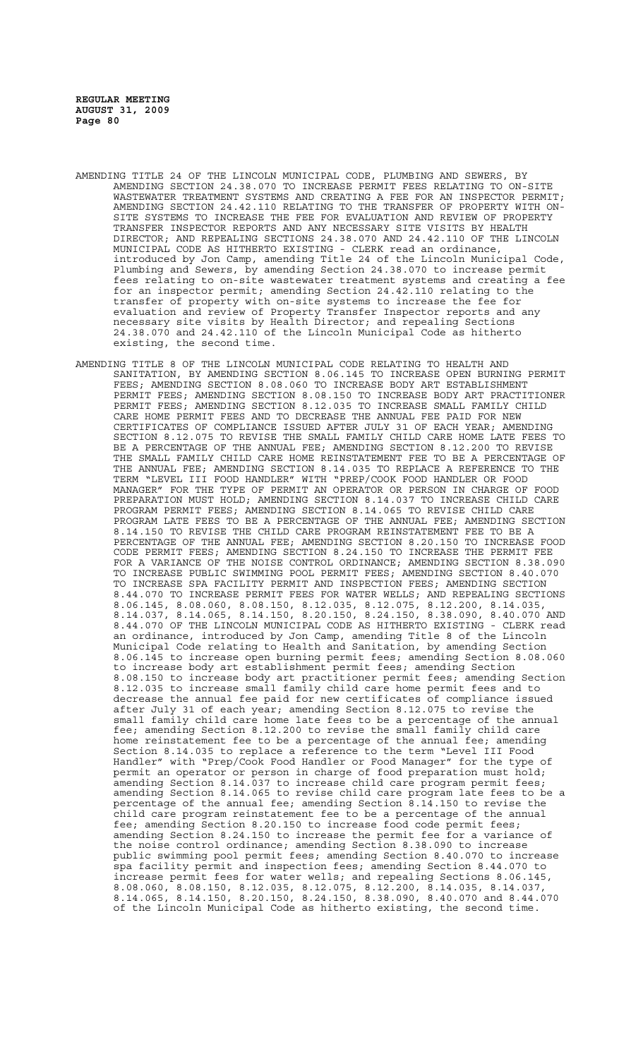- AMENDING TITLE 24 OF THE LINCOLN MUNICIPAL CODE, PLUMBING AND SEWERS, BY AMENDING SECTION 24.38.070 TO INCREASE PERMIT FEES RELATING TO ON-SITE WASTEWATER TREATMENT SYSTEMS AND CREATING A FEE FOR AN INSPECTOR PERMIT; AMENDING SECTION 24.42.110 RELATING TO THE TRANSFER OF PROPERTY WITH ON-SITE SYSTEMS TO INCREASE THE FEE FOR EVALUATION AND REVIEW OF PROPERTY TRANSFER INSPECTOR REPORTS AND ANY NECESSARY SITE VISITS BY HEALTH DIRECTOR; AND REPEALING SECTIONS 24.38.070 AND 24.42.110 OF THE LINCOLN MUNICIPAL CODE AS HITHERTO EXISTING - CLERK read an ordinance, introduced by Jon Camp, amending Title 24 of the Lincoln Municipal Code, Plumbing and Sewers, by amending Section 24.38.070 to increase permit fees relating to on-site wastewater treatment systems and creating a fee for an inspector permit; amending Section 24.42.110 relating to the transfer of property with on-site systems to increase the fee for evaluation and review of Property Transfer Inspector reports and any necessary site visits by Health Director; and repealing Sections 24.38.070 and 24.42.110 of the Lincoln Municipal Code as hitherto existing, the second time.
- AMENDING TITLE 8 OF THE LINCOLN MUNICIPAL CODE RELATING TO HEALTH AND SANITATION, BY AMENDING SECTION 8.06.145 TO INCREASE OPEN BURNING PERMIT FEES; AMENDING SECTION 8.08.060 TO INCREASE BODY ART ESTABLISHMENT<br>PERMIT FEES: AMENDING SECTION 8.08.150 TO INCREASE BODY ART PRACTITIONER PERMIT FEES; AMENDING SECTION 8.08.150 TO INCREASE BODY ART PRACTITIONER PERMIT FEES; AMENDING SECTION 8.12.035 TO INCREASE SMALL FAMILY CHILD CARE HOME PERMIT FEES AND TO DECREASE THE ANNUAL FEE PAID FOR NEW CERTIFICATES OF COMPLIANCE ISSUED AFTER JULY 31 OF EACH YEAR; AMENDING SECTION 8.12.075 TO REVISE THE SMALL FAMILY CHILD CARE HOME LATE FEES TO BE A PERCENTAGE OF THE ANNUAL FEE; AMENDING SECTION 8.12.200 TO REVISE THE SMALL FAMILY CHILD CARE HOME REINSTATEMENT FEE TO BE A PERCENTAGE OF THE ANNUAL FEE; AMENDING SECTION 8.14.035 TO REPLACE A REFERENCE TO THE TERM "LEVEL III FOOD HANDLER" WITH "PREP/COOK FOOD HANDLER OR FOOD MANAGER" FOR THE TYPE OF PERMIT AN OPERATOR OR PERSON IN CHARGE OF FOOD PREPARATION MUST HOLD; AMENDING SECTION 8.14.037 TO INCREASE CHILD CARE PROGRAM PERMIT FEES; AMENDING SECTION 8.14.065 TO REVISE CHILD CARE PROGRAM LATE FEES TO BE A PERCENTAGE OF THE ANNUAL FEE; AMENDING SECTION 8.14.150 TO REVISE THE CHILD CARE PROGRAM REINSTATEMENT FEE TO BE A PERCENTAGE OF THE ANNUAL FEE; AMENDING SECTION 8.20.150 TO INCREASE FOOD CODE PERMIT FEES; AMENDING SECTION 8.24.150 TO INCREASE THE PERMIT FEE FOR A VARIANCE OF THE NOISE CONTROL ORDINANCE; AMENDING SECTION 8.38.090 TO INCREASE PUBLIC SWIMMING POOL PERMIT FEES; AMENDING SECTION 8.40.070 TO INCREASE SPA FACILITY PERMIT AND INSPECTION FEES; AMENDING SECTION 8.44.070 TO INCREASE PERMIT FEES FOR WATER WELLS; AND REPEALING SECTIONS 8.06.145, 8.08.060, 8.08.150, 8.12.035, 8.12.075, 8.12.200, 8.14.035, 8.14.037, 8.14.065, 8.14.150, 8.20.150, 8.24.150, 8.38.090, 8.40.070 AND 8.44.070 OF THE LINCOLN MUNICIPAL CODE AS HITHERTO EXISTING - CLERK read an ordinance, introduced by Jon Camp, amending Title 8 of the Lincoln Municipal Code relating to Health and Sanitation, by amending Section 8.06.145 to increase open burning permit fees; amending Section 8.08.060 to increase body art establishment permit fees; amending Section 8.08.150 to increase body art practitioner permit fees; amending Section 8.12.035 to increase small family child care home permit fees and to decrease the annual fee paid for new certificates of compliance issued after July 31 of each year; amending Section 8.12.075 to revise the small family child care home late fees to be a percentage of the annual fee; amending Section 8.12.200 to revise the small family child care home reinstatement fee to be a percentage of the annual fee; amending Section 8.14.035 to replace a reference to the term "Level III Food Handler" with "Prep/Cook Food Handler or Food Manager" for the type of permit an operator or person in charge of food preparation must hold; amending Section 8.14.037 to increase child care program permit fees; amending Section 8.14.065 to revise child care program late fees to be a percentage of the annual fee; amending Section 8.14.150 to revise the child care program reinstatement fee to be a percentage of the annual fee; amending Section 8.20.150 to increase food code permit fees; amending Section 8.24.150 to increase the permit fee for a variance of the noise control ordinance; amending Section 8.38.090 to increase public swimming pool permit fees; amending Section 8.40.070 to increase spa facility permit and inspection fees; amending Section 8.44.070 to increase permit fees for water wells; and repealing Sections 8.06.145, 8.08.060, 8.08.150, 8.12.035, 8.12.075, 8.12.200, 8.14.035, 8.14.037, 8.14.065, 8.14.150, 8.20.150, 8.24.150, 8.38.090, 8.40.070 and 8.44.070 of the Lincoln Municipal Code as hitherto existing, the second time.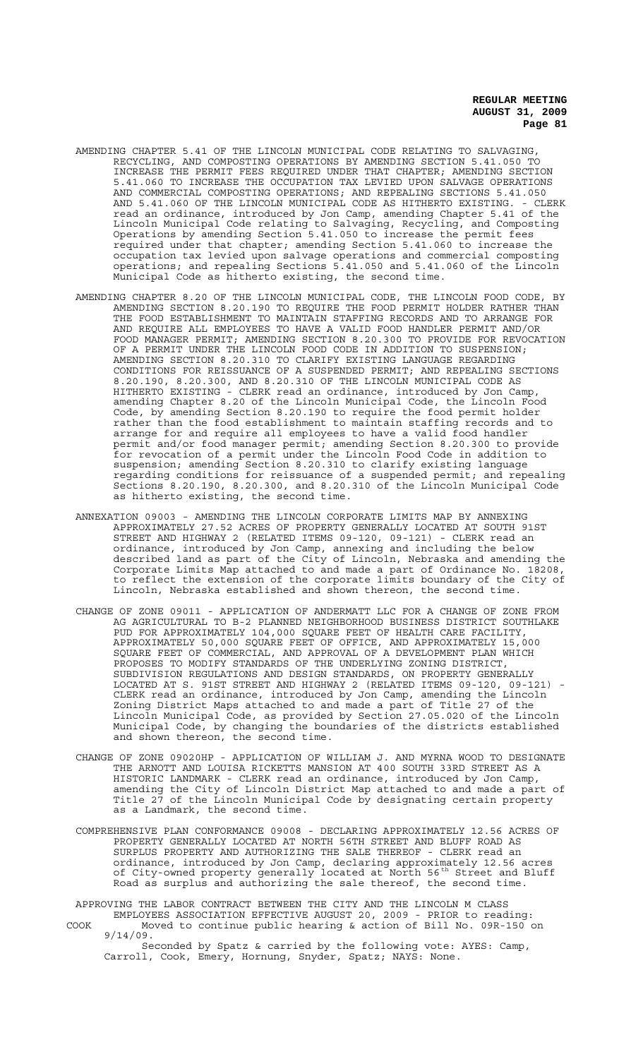- AMENDING CHAPTER 5.41 OF THE LINCOLN MUNICIPAL CODE RELATING TO SALVAGING, RECYCLING, AND COMPOSTING OPERATIONS BY AMENDING SECTION 5.41.050 TO INCREASE THE PERMIT FEES REQUIRED UNDER THAT CHAPTER; AMENDING SECTION 5.41.060 TO INCREASE THE OCCUPATION TAX LEVIED UPON SALVAGE OPERATIONS AND COMMERCIAL COMPOSTING OPERATIONS; AND REPEALING SECTIONS 5.41.050 AND 5.41.060 OF THE LINCOLN MUNICIPAL CODE AS HITHERTO EXISTING. - CLERK read an ordinance, introduced by Jon Camp, amending Chapter 5.41 of the Lincoln Municipal Code relating to Salvaging, Recycling, and Composting Operations by amending Section 5.41.050 to increase the permit fees required under that chapter; amending Section 5.41.060 to increase the occupation tax levied upon salvage operations and commercial composting operations; and repealing Sections 5.41.050 and 5.41.060 of the Lincoln Municipal Code as hitherto existing, the second time.
- AMENDING CHAPTER 8.20 OF THE LINCOLN MUNICIPAL CODE, THE LINCOLN FOOD CODE, BY AMENDING SECTION 8.20.190 TO REQUIRE THE FOOD PERMIT HOLDER RATHER THAN THE FOOD ESTABLISHMENT TO MAINTAIN STAFFING RECORDS AND TO ARRANGE FOR AND REQUIRE ALL EMPLOYEES TO HAVE A VALID FOOD HANDLER PERMIT AND/OR FOOD MANAGER PERMIT; AMENDING SECTION 8.20.300 TO PROVIDE FOR REVOCATION OF A PERMIT UNDER THE LINCOLN FOOD CODE IN ADDITION TO SUSPENSION; AMENDING SECTION 8.20.310 TO CLARIFY EXISTING LANGUAGE REGARDING CONDITIONS FOR REISSUANCE OF A SUSPENDED PERMIT; AND REPEALING SECTIONS 8.20.190, 8.20.300, AND 8.20.310 OF THE LINCOLN MUNICIPAL CODE AS HITHERTO EXISTING - CLERK read an ordinance, introduced by Jon Camp, amending Chapter 8.20 of the Lincoln Municipal Code, the Lincoln Food Code, by amending Section 8.20.190 to require the food permit holder rather than the food establishment to maintain staffing records and to arrange for and require all employees to have a valid food handler permit and/or food manager permit; amending Section 8.20.300 to provide for revocation of a permit under the Lincoln Food Code in addition to suspension; amending Section 8.20.310 to clarify existing language regarding conditions for reissuance of a suspended permit; and repealing Sections 8.20.190, 8.20.300, and 8.20.310 of the Lincoln Municipal Code as hitherto existing, the second time.
- ANNEXATION 09003 AMENDING THE LINCOLN CORPORATE LIMITS MAP BY ANNEXING APPROXIMATELY 27.52 ACRES OF PROPERTY GENERALLY LOCATED AT SOUTH 91ST STREET AND HIGHWAY 2 (RELATED ITEMS 09-120, 09-121) - CLERK read an ordinance, introduced by Jon Camp, annexing and including the below described land as part of the City of Lincoln, Nebraska and amending the Corporate Limits Map attached to and made a part of Ordinance No. 18208, to reflect the extension of the corporate limits boundary of the City of Lincoln, Nebraska established and shown thereon, the second time.
- CHANGE OF ZONE 09011 APPLICATION OF ANDERMATT LLC FOR A CHANGE OF ZONE FROM AG AGRICULTURAL TO B-2 PLANNED NEIGHBORHOOD BUSINESS DISTRICT SOUTHLAKE PUD FOR APPROXIMATELY 104,000 SQUARE FEET OF HEALTH CARE FACILITY, APPROXIMATELY 50,000 SQUARE FEET OF OFFICE, AND APPROXIMATELY 15,000 SQUARE FEET OF COMMERCIAL, AND APPROVAL OF A DEVELOPMENT PLAN WHICH PROPOSES TO MODIFY STANDARDS OF THE UNDERLYING ZONING DISTRICT, SUBDIVISION REGULATIONS AND DESIGN STANDARDS, ON PROPERTY GENERALLY LOCATED AT S. 91ST STREET AND HIGHWAY 2 (RELATED ITEMS 09-120, 09-121) CLERK read an ordinance, introduced by Jon Camp, amending the Lincoln Zoning District Maps attached to and made a part of Title 27 of the Lincoln Municipal Code, as provided by Section 27.05.020 of the Lincoln Municipal Code, by changing the boundaries of the districts established and shown thereon, the second time.
- CHANGE OF ZONE 09020HP APPLICATION OF WILLIAM J. AND MYRNA WOOD TO DESIGNATE THE ARNOTT AND LOUISA RICKETTS MANSION AT 400 SOUTH 33RD STREET AS A HISTORIC LANDMARK - CLERK read an ordinance, introduced by Jon Camp, amending the City of Lincoln District Map attached to and made a part of Title 27 of the Lincoln Municipal Code by designating certain property as a Landmark, the second time.
- COMPREHENSIVE PLAN CONFORMANCE 09008 DECLARING APPROXIMATELY 12.56 ACRES OF PROPERTY GENERALLY LOCATED AT NORTH 56TH STREET AND BLUFF ROAD AS SURPLUS PROPERTY AND AUTHORIZING THE SALE THEREOF - CLERK read an ordinance, introduced by Jon Camp, declaring approximately 12.56 acres of City-owned property generally located at North 56<sup>th</sup> Street and Bluff Road as surplus and authorizing the sale thereof, the second time.

APPROVING THE LABOR CONTRACT BETWEEN THE CITY AND THE LINCOLN M CLASS EMPLOYEES ASSOCIATION EFFECTIVE AUGUST 20, 2009 - PRIOR to reading: COOK Moved to continue public hearing & action of Bill No. 09R-150 on 9/14/09. Seconded by Spatz & carried by the following vote: AYES: Camp, Carroll, Cook, Emery, Hornung, Snyder, Spatz; NAYS: None.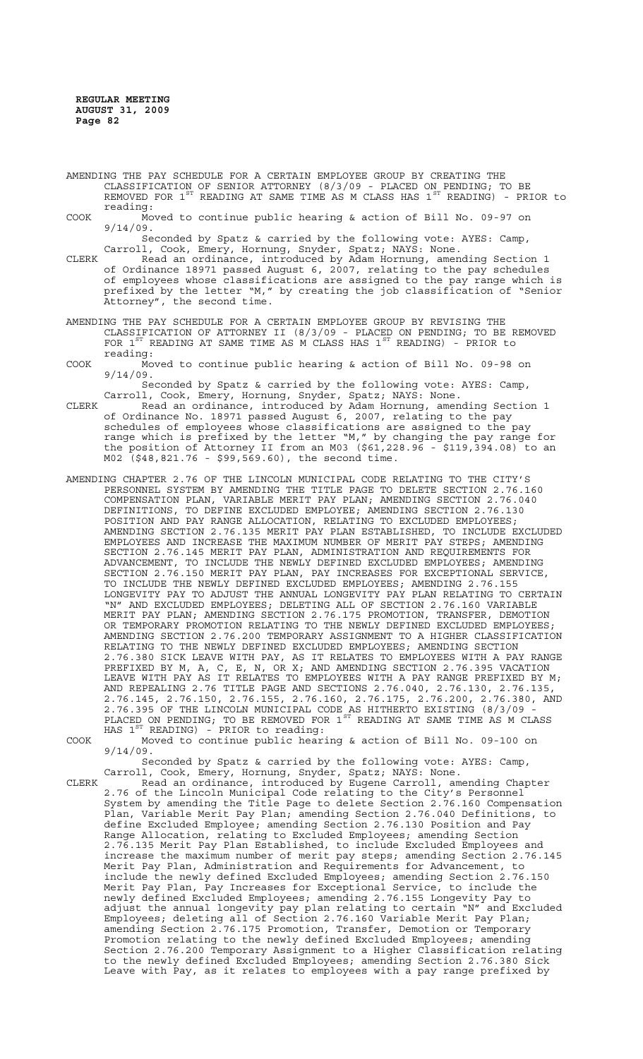- AMENDING THE PAY SCHEDULE FOR A CERTAIN EMPLOYEE GROUP BY CREATING THE CLASSIFICATION OF SENIOR ATTORNEY (8/3/09 - PLACED ON PENDING; TO BE REMOVED FOR  $1^\text{ST}$  READING AT SAME TIME AS M CLASS HAS  $1^\text{ST}$  READING) - PRIOR to reading:
- COOK Moved to continue public hearing & action of Bill No. 09-97 on 9/14/09.
- Seconded by Spatz & carried by the following vote: AYES: Camp, Carroll, Cook, Emery, Hornung, Snyder, Spatz; NAYS: None.
- CLERK Read an ordinance, introduced by Adam Hornung, amending Section 1 of Ordinance 18971 passed August 6, 2007, relating to the pay schedules of employees whose classifications are assigned to the pay range which is prefixed by the letter "M," by creating the job classification of "Senior Attorney", the second time.
- AMENDING THE PAY SCHEDULE FOR A CERTAIN EMPLOYEE GROUP BY REVISING THE CLASSIFICATION OF ATTORNEY II (8/3/09 - PLACED ON PENDING; TO BE REMOVED FOR  $1^{ST}$  READING AT SAME TIME AS M CLASS HAS  $1^{ST}$  READING) - PRIOR to reading:
- COOK Moved to continue public hearing & action of Bill No. 09-98 on 9/14/09.

Seconded by Spatz & carried by the following vote: AYES: Camp, Carroll, Cook, Emery, Hornung, Snyder, Spatz; NAYS: None.

- CLERK Read an ordinance, introduced by Adam Hornung, amending Section 1 of Ordinance No. 18971 passed August 6, 2007, relating to the pay schedules of employees whose classifications are assigned to the pay range which is prefixed by the letter "M," by changing the pay range for the position of Attorney II from an M03 (\$61,228.96 - \$119,394.08) to an M02 (\$48,821.76 - \$99,569.60), the second time.
- AMENDING CHAPTER 2.76 OF THE LINCOLN MUNICIPAL CODE RELATING TO THE CITY'S PERSONNEL SYSTEM BY AMENDING THE TITLE PAGE TO DELETE SECTION 2.76.160 COMPENSATION PLAN, VARIABLE MERIT PAY PLAN; AMENDING SECTION 2.76.040 DEFINITIONS, TO DEFINE EXCLUDED EMPLOYEE; AMENDING SECTION 2.76.130 POSITION AND PAY RANGE ALLOCATION, RELATING TO EXCLUDED EMPLOYEES; AMENDING SECTION 2.76.135 MERIT PAY PLAN ESTABLISHED, TO INCLUDE EXCLUDED EMPLOYEES AND INCREASE THE MAXIMUM NUMBER OF MERIT PAY STEPS; AMENDING SECTION 2.76.145 MERIT PAY PLAN, ADMINISTRATION AND REQUIREMENTS FOR ADVANCEMENT, TO INCLUDE THE NEWLY DEFINED EXCLUDED EMPLOYEES; AMENDING SECTION 2.76.150 MERIT PAY PLAN, PAY INCREASES FOR EXCEPTIONAL SERVICE, TO INCLUDE THE NEWLY DEFINED EXCLUDED EMPLOYEES; AMENDING 2.76.155 LONGEVITY PAY TO ADJUST THE ANNUAL LONGEVITY PAY PLAN RELATING TO CERTAIN "N" AND EXCLUDED EMPLOYEES; DELETING ALL OF SECTION 2.76.160 VARIABLE MERIT PAY PLAN; AMENDING SECTION 2.76.175 PROMOTION, TRANSFER, DEMOTION OR TEMPORARY PROMOTION RELATING TO THE NEWLY DEFINED EXCLUDED EMPLOYEES; AMENDING SECTION 2.76.200 TEMPORARY ASSIGNMENT TO A HIGHER CLASSIFICATION RELATING TO THE NEWLY DEFINED EXCLUDED EMPLOYEES; AMENDING SECTION 2.76.380 SICK LEAVE WITH PAY, AS IT RELATES TO EMPLOYEES WITH A PAY RANGE PREFIXED BY M, A, C, E, N, OR X; AND AMENDING SECTION 2.76.395 VACATION LEAVE WITH PAY AS IT RELATES TO EMPLOYEES WITH A PAY RANGE PREFIXED BY M; AND REPEALING 2.76 TITLE PAGE AND SECTIONS 2.76.040, 2.76.130, 2.76.135, 2.76.145, 2.76.150, 2.76.155, 2.76.160, 2.76.175, 2.76.200, 2.76.380, AND 2.76.395 OF THE LINCOLN MUNICIPAL CODE AS HITHERTO EXISTING (8/3/09 - PLACED ON PENDING; TO BE REMOVED FOR  $1^{ST}$  READING AT SAME TIME AS M CLASS HAS  $1^{ST}$  READING) - PRIOR to reading:
- COOK Moved to continue public hearing & action of Bill No. 09-100 on 9/14/09.

Seconded by Spatz & carried by the following vote: AYES: Camp, Carroll, Cook, Emery, Hornung, Snyder, Spatz; NAYS: None.

CLERK Read an ordinance, introduced by Eugene Carroll, amending Chapter 2.76 of the Lincoln Municipal Code relating to the City's Personnel System by amending the Title Page to delete Section 2.76.160 Compensation Plan, Variable Merit Pay Plan; amending Section 2.76.040 Definitions, to define Excluded Employee; amending Section 2.76.130 Position and Pay Range Allocation, relating to Excluded Employees; amending Section 2.76.135 Merit Pay Plan Established, to include Excluded Employees and increase the maximum number of merit pay steps; amending Section 2.76.145 Merit Pay Plan, Administration and Requirements for Advancement, to include the newly defined Excluded Employees; amending Section 2.76.150 Merit Pay Plan, Pay Increases for Exceptional Service, to include the newly defined Excluded Employees; amending 2.76.155 Longevity Pay to adjust the annual longevity pay plan relating to certain "N" and Excluded Employees; deleting all of Section 2.76.160 Variable Merit Pay Plan; amending Section 2.76.175 Promotion, Transfer, Demotion or Temporary Promotion relating to the newly defined Excluded Employees; amending Section 2.76.200 Temporary Assignment to a Higher Classification relating to the newly defined Excluded Employees; amending Section 2.76.380 Sick Leave with Pay, as it relates to employees with a pay range prefixed by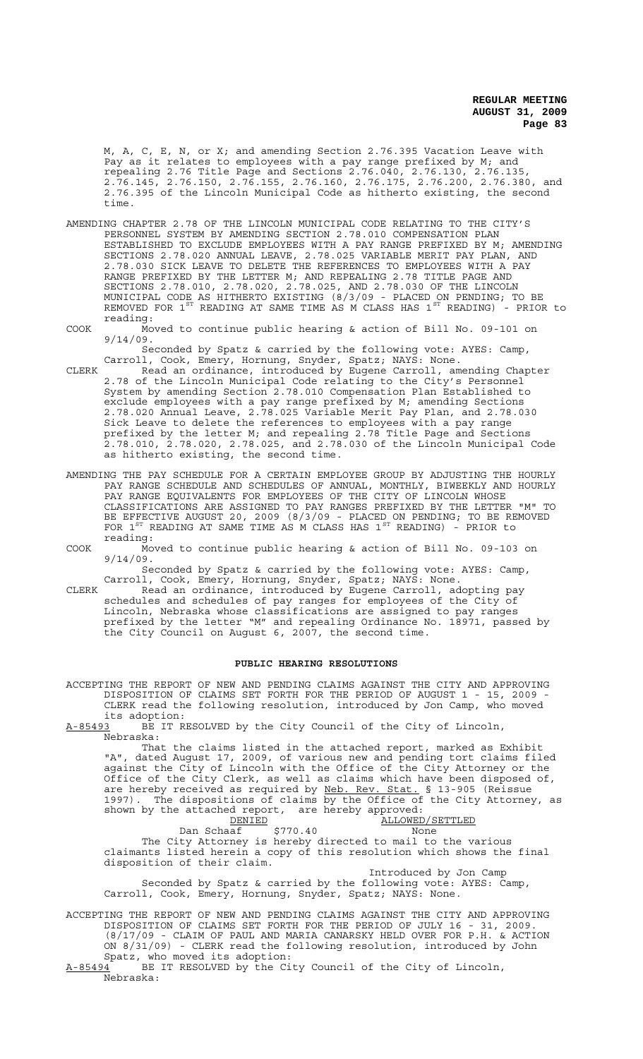M, A, C, E, N, or X; and amending Section 2.76.395 Vacation Leave with Pay as it relates to employees with a pay range prefixed by M; and repealing 2.76 Title Page and Sections 2.76.040, 2.76.130, 2.76.135, 2.76.145, 2.76.150, 2.76.155, 2.76.160, 2.76.175, 2.76.200, 2.76.380, and 2.76.395 of the Lincoln Municipal Code as hitherto existing, the second time.

- AMENDING CHAPTER 2.78 OF THE LINCOLN MUNICIPAL CODE RELATING TO THE CITY'S PERSONNEL SYSTEM BY AMENDING SECTION 2.78.010 COMPENSATION PLAN ESTABLISHED TO EXCLUDE EMPLOYEES WITH A PAY RANGE PREFIXED BY M; AMENDING SECTIONS 2.78.020 ANNUAL LEAVE, 2.78.025 VARIABLE MERIT PAY PLAN, AND 2.78.030 SICK LEAVE TO DELETE THE REFERENCES TO EMPLOYEES WITH A PAY RANGE PREFIXED BY THE LETTER M; AND REPEALING 2.78 TITLE PAGE AND SECTIONS 2.78.010, 2.78.020, 2.78.025, AND 2.78.030 OF THE LINCOLN MUNICIPAL CODE AS HITHERTO EXISTING (8/3/09 - PLACED ON PENDING; TO BE REMOVED FOR  $1^\text{ST}$  READING AT SAME TIME AS M CLASS HAS  $1^\text{ST}$  READING) - PRIOR to reading:
- COOK Moved to continue public hearing & action of Bill No. 09-101 on 9/14/09.

Seconded by Spatz & carried by the following vote: AYES: Camp, Carroll, Cook, Emery, Hornung, Snyder, Spatz; NAYS: None.

- CLERK Read an ordinance, introduced by Eugene Carroll, amending Chapter 2.78 of the Lincoln Municipal Code relating to the City's Personnel System by amending Section 2.78.010 Compensation Plan Established to exclude employees with a pay range prefixed by M; amending Sections 2.78.020 Annual Leave, 2.78.025 Variable Merit Pay Plan, and 2.78.030 Sick Leave to delete the references to employees with a pay range prefixed by the letter M; and repealing 2.78 Title Page and Sections 2.78.010, 2.78.020, 2.78.025, and 2.78.030 of the Lincoln Municipal Code as hitherto existing, the second time.
- AMENDING THE PAY SCHEDULE FOR A CERTAIN EMPLOYEE GROUP BY ADJUSTING THE HOURLY PAY RANGE SCHEDULE AND SCHEDULES OF ANNUAL, MONTHLY, BIWEEKLY AND HOURLY PAY RANGE EQUIVALENTS FOR EMPLOYEES OF THE CITY OF LINCOLN WHOSE CLASSIFICATIONS ARE ASSIGNED TO PAY RANGES PREFIXED BY THE LETTER "M" TO BE EFFECTIVE AUGUST 20, 2009 (8/3/09 - PLACED ON PENDING; TO BE REMOVED FOR  $1^{ST}$  READING AT SAME TIME AS M CLASS HAS  $1^{ST}$  READING) - PRIOR to reading:
- COOK Moved to continue public hearing & action of Bill No. 09-103 on 9/14/09.

Seconded by Spatz & carried by the following vote: AYES: Camp, Carroll, Cook, Emery, Hornung, Snyder, Spatz; NAYS: None.

CLERK Read an ordinance, introduced by Eugene Carroll, adopting pay schedules and schedules of pay ranges for employees of the City of Lincoln, Nebraska whose classifications are assigned to pay ranges prefixed by the letter "M" and repealing Ordinance No. 18971, passed by the City Council on August 6, 2007, the second time.

#### **PUBLIC HEARING RESOLUTIONS**

ACCEPTING THE REPORT OF NEW AND PENDING CLAIMS AGAINST THE CITY AND APPROVING DISPOSITION OF CLAIMS SET FORTH FOR THE PERIOD OF AUGUST 1 - 15, 2009 CLERK read the following resolution, introduced by Jon Camp, who moved

its adoption:<br>A-85493 BE IT R BE IT RESOLVED by the City Council of the City of Lincoln, Nebraska:

That the claims listed in the attached report, marked as Exhibit "A", dated August 17, 2009, of various new and pending tort claims filed against the City of Lincoln with the Office of the City Attorney or the Office of the City Clerk, as well as claims which have been disposed of, are hereby received as required by Neb. Rev. Stat. § 13-905 (Reissue 1997). The dispositions of claims by the Office of the City Attorney, as shown by the attached report, are hereby approved:<br>DENIED ALLOWED

DENIED<br>Dan Schaaf \$770.40<br>None Dan Schaaf \$770.40 None The City Attorney is hereby directed to mail to the various claimants listed herein a copy of this resolution which shows the final disposition of their claim.

Introduced by Jon Camp Seconded by Spatz & carried by the following vote: AYES: Camp, Carroll, Cook, Emery, Hornung, Snyder, Spatz; NAYS: None.

ACCEPTING THE REPORT OF NEW AND PENDING CLAIMS AGAINST THE CITY AND APPROVING DISPOSITION OF CLAIMS SET FORTH FOR THE PERIOD OF JULY 16 - 31, 2009. (8/17/09 - CLAIM OF PAUL AND MARIA CANARSKY HELD OVER FOR P.H. & ACTION ON 8/31/09) - CLERK read the following resolution, introduced by John Spatz, who moved its adoption:

A-85494 BE IT RESOLVED by the City Council of the City of Lincoln, Nebraska: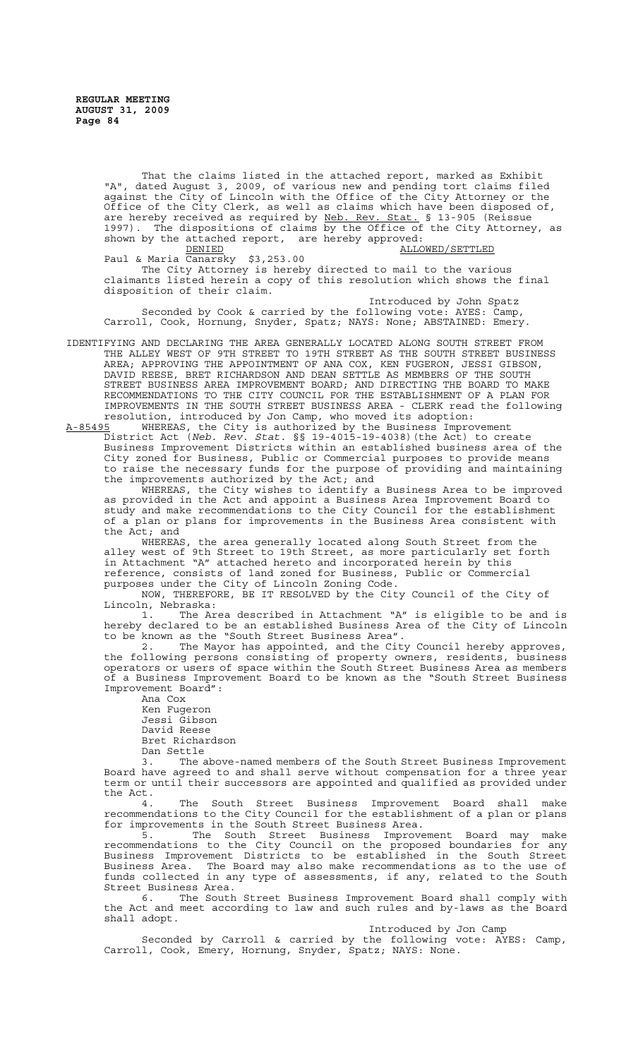That the claims listed in the attached report, marked as Exhibit "A", dated August 3, 2009, of various new and pending tort claims filed against the City of Lincoln with the Office of the City Attorney or the Office of the City Clerk, as well as claims which have been disposed of, are hereby received as required by Neb. Rev. Stat. § 13-905 (Reissue 1997). The dispositions of claims by the Office of the City Attorney, as shown by the attached report, are hereby approved:

DENIED **ALLOWED**/SETTLED Paul & Maria Canarsky \$3,253.00 The City Attorney is hereby directed to mail to the various claimants listed herein a copy of this resolution which shows the final disposition of their claim.

Introduced by John Spatz Seconded by Cook & carried by the following vote: AYES: Camp, Carroll, Cook, Hornung, Snyder, Spatz; NAYS: None; ABSTAINED: Emery.

IDENTIFYING AND DECLARING THE AREA GENERALLY LOCATED ALONG SOUTH STREET FROM THE ALLEY WEST OF 9TH STREET TO 19TH STREET AS THE SOUTH STREET BUSINESS AREA; APPROVING THE APPOINTMENT OF ANA COX, KEN FUGERON, JESSI GIBSON, DAVID REESE, BRET RICHARDSON AND DEAN SETTLE AS MEMBERS OF THE SOUTH STREET BUSINESS AREA IMPROVEMENT BOARD; AND DIRECTING THE BOARD TO MAKE RECOMMENDATIONS TO THE CITY COUNCIL FOR THE ESTABLISHMENT OF A PLAN FOR IMPROVEMENTS IN THE SOUTH STREET BUSINESS AREA - CLERK read the following resolution, introduced by Jon Camp, who moved its adoption:<br>A-85495 WHEREAS, the City is authorized by the Business Impro

A-85495 WHEREAS, the City is authorized by the Business Improvement District Act (*Neb. Rev. Stat.* §§ 19-4015-19-4038)(the Act) to create Business Improvement Districts within an established business area of the City zoned for Business, Public or Commercial purposes to provide means to raise the necessary funds for the purpose of providing and maintaining the improvements authorized by the Act; and

 WHEREAS, the City wishes to identify a Business Area to be improved as provided in the Act and appoint a Business Area Improvement Board to study and make recommendations to the City Council for the establishment of a plan or plans for improvements in the Business Area consistent with the Act; and

WHEREAS, the area generally located along South Street from the alley west of 9th Street to 19th Street, as more particularly set forth in Attachment "A" attached hereto and incorporated herein by this reference, consists of land zoned for Business, Public or Commercial purposes under the City of Lincoln Zoning Code.

NOW, THEREFORE, BE IT RESOLVED by the City Council of the City of Lincoln, Nebraska:

1. The Area described in Attachment "A" is eligible to be and is hereby declared to be an established Business Area of the City of Lincoln to be known as the "South Street Business Area".

2. The Mayor has appointed, and the City Council hereby approves, the following persons consisting of property owners, residents, business operators or users of space within the South Street Business Area as members of a Business Improvement Board to be known as the "South Street Business Improvement Board":

Ana Cox Ken Fugeron Jessi Gibson David Reese Bret Richardson Dan Settle

3. The above-named members of the South Street Business Improvement Board have agreed to and shall serve without compensation for a three year term or until their successors are appointed and qualified as provided under the Act.

4. The South Street Business Improvement Board shall make recommendations to the City Council for the establishment of a plan or plans for improvements in the South Street Business Area.

5. The South Street Business Improvement Board may make recommendations to the City Council on the proposed boundaries for any Business Improvement Districts to be established in the South Street Business Area. The Board may also make recommendations as to the use of funds collected in any type of assessments, if any, related to the South Street Business Area.

6. The South Street Business Improvement Board shall comply with the Act and meet according to law and such rules and by-laws as the Board shall adopt.

Introduced by Jon Camp

Seconded by Carroll & carried by the following vote: AYES: Camp, Carroll, Cook, Emery, Hornung, Snyder, Spatz; NAYS: None.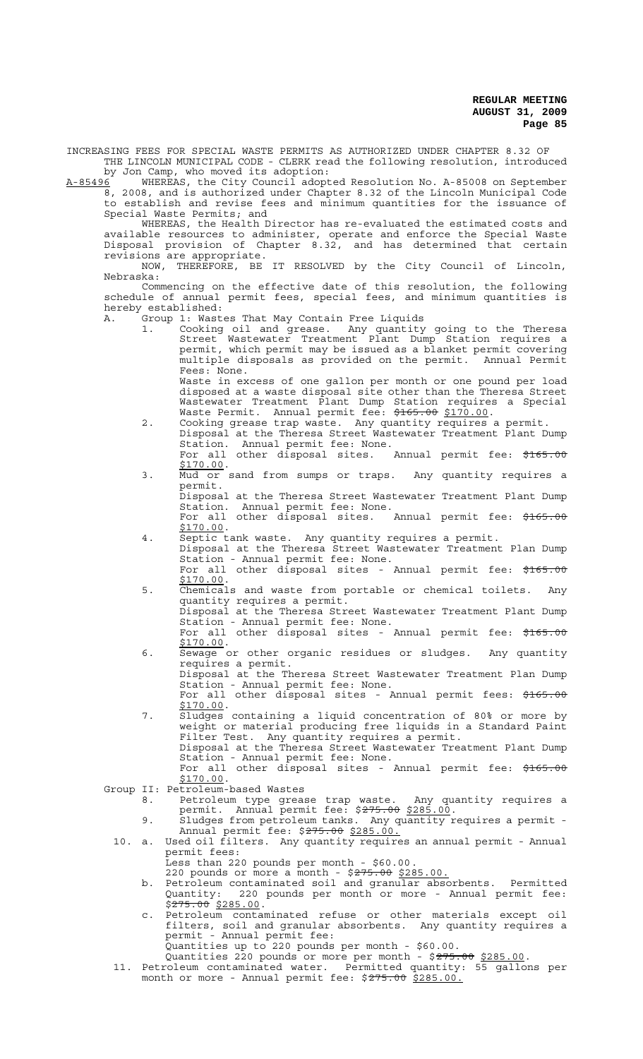INCREASING FEES FOR SPECIAL WASTE PERMITS AS AUTHORIZED UNDER CHAPTER 8.32 OF THE LINCOLN MUNICIPAL CODE - CLERK read the following resolution, introduced

by Jon Camp, who moved its adoption:<br>by Jon Camp, who moved its adoption:<br><u>06</u> WHEREAS, the City Council adopted Resolution No. A-85008 on September A-85496 MHEREAS, the City Council adopted Resolution No. A-85008 on September 8, 2008, and is authorized under Chapter 8.32 of the Lincoln Municipal Code to establish and revise fees and minimum quantities for the issuance of Special Waste Permits; and

WHEREAS, the Health Director has re-evaluated the estimated costs and available resources to administer, operate and enforce the Special Waste Disposal provision of Chapter 8.32, and has determined that certain revisions are appropriate.

NOW, THEREFORE, BE IT RESOLVED by the City Council of Lincoln, Nebraska:

Commencing on the effective date of this resolution, the following schedule of annual permit fees, special fees, and minimum quantities is hereby established:

- A. Group 1: Wastes That May Contain Free Liquids
	- 1. Cooking oil and grease. Any quantity going to the Theresa Street Wastewater Treatment Plant Dump Station requires a permit, which permit may be issued as a blanket permit covering multiple disposals as provided on the permit. Annual Permit Fees: None. Waste in excess of one gallon per month or one pound per load

disposed at a waste disposal site other than the Theresa Street Wastewater Treatment Plant Dump Station requires a Special Waste Permit. Annual permit fee: \$165.00 \$170.00.

- 2. Cooking grease trap waste. Any quantity requires a permit. Disposal at the Theresa Street Wastewater Treatment Plant Dump Station. Annual permit fee: None. For all other disposal sites. Annual permit fee: \$165.00 \$170.00.
- 3. Mud or sand from sumps or traps. Any quantity requires a permit.

Disposal at the Theresa Street Wastewater Treatment Plant Dump Station. Annual permit fee: None. For all other disposal sites. Annual permit fee: \$165.00

\$170.00. 4. Septic tank waste. Any quantity requires a permit.

- Disposal at the Theresa Street Wastewater Treatment Plan Dump Station - Annual permit fee: None. For all other disposal sites - Annual permit fee: \$165.00
- \$170.00.<br>5. Chemicals and waste from portable or chemical toilets. Any quantity requires a permit.
	- Disposal at the Theresa Street Wastewater Treatment Plant Dump Station - Annual permit fee: None. For all other disposal sites - Annual permit fee: \$165.00
- \$170.00.<br>6. Sewage or other organic residues or sludges. Any quantity requires a permit.

Disposal at the Theresa Street Wastewater Treatment Plan Dump Station - Annual permit fee: None. For all other disposal sites - Annual permit fees: \$165.00

- \$170.00. 7. Sludges containing a liquid concentration of 80% or more by
	- weight or material producing free liquids in a Standard Paint Filter Test. Any quantity requires a permit. Disposal at the Theresa Street Wastewater Treatment Plant Dump
		- Station Annual permit fee: None. For all other disposal sites - Annual permit fee: \$165.00

 $\frac{101}{170.00}$ .

Group II: Petroleum-based Wastes

- 8. Petroleum type grease trap waste. Any quantity requires a permit. Annual permit fee: \$<del>275.00</del> \$285.00. 9. Sludges from petroleum tanks. Any quantity requires a permit -
	- Annual permit fee: \$<del>275.00</del> \$285.00.
- 10. a. Used oil filters. Any quantity requires an annual permit Annual permit fees:
	- Less than 220 pounds per month \$60.00.

220 pounds or more a month - \$275.00 \$285.00.

- b. Petroleum contaminated soil and granular absorbents. Permitted Quantity: 220 pounds per month or more - Annual permit fee: \$275.00 \$285.00.<br>c. Petroleum contaminated refuse or other materials except oil
- filters, soil and granular absorbents. Any quantity requires a permit - Annual permit fee:

Quantities up to 220 pounds per month - \$60.00.

- Quantities 220 pounds or more per month \$<del>275.00</del> \$285.00.<br>11. Petroleum contaminated water. Permitted quantity: 55 gallons per
	- month or more Annual permit fee: \$275.00 \$285.00.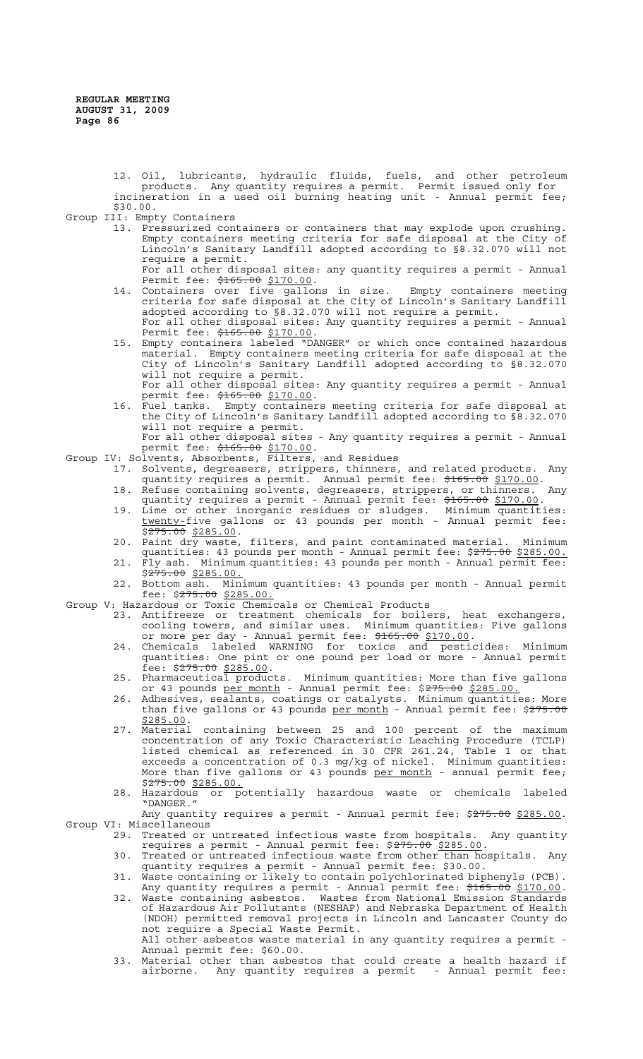12. Oil, lubricants, hydraulic fluids, fuels, and other petroleum products. Any quantity requires a permit. Permit issued only for incineration in a used oil burning heating unit - Annual permit fee; \$30.00.

Group III: Empty Containers

13. Pressurized containers or containers that may explode upon crushing. Empty containers meeting criteria for safe disposal at the City of Lincoln's Sanitary Landfill adopted according to §8.32.070 will not require a permit.

For all other disposal sites: any quantity requires a permit - Annual Permit fee: \$165.00 \$170.00.

- 14. Containers over five gallons in size. Empty containers meeting criteria for safe disposal at the City of Lincoln's Sanitary Landfill adopted according to §8.32.070 will not require a permit. For all other disposal sites: Any quantity requires a permit - Annual Permit fee: \$165.00 \$170.00.
- 15. Empty containers labeled "DANGER" or which once contained hazardous material. Empty containers meeting criteria for safe disposal at the City of Lincoln's Sanitary Landfill adopted according to §8.32.070 will not require a permit.

For all other disposal sites: Any quantity requires a permit - Annual permit fee: \$165.00 \$170.00.<br>16. Fuel tanks. Empty container

16. Fuel tanks. Empty containers meeting criteria for safe disposal at the City of Lincoln's Sanitary Landfill adopted according to §8.32.070 will not require a permit. For all other disposal sites - Any quantity requires a permit - Annual

permit fee: \$165.00 \$170.00.

Group IV: Solvents, Absorbents, Filters, and Residues

- 17. Solvents, degreasers, strippers, thinners, and related products. quantity requires a permit. Annual permit fee: \$165.00 \$170.00.
- 18. Refuse containing solvents, degreasers, strippers, or thinners. Any quantity requires a permit - Annual permit fee: \$165.00 \$170.00.
- 19. Lime or other inorganic residues or sludges. Minimum quantities: twenty-five gallons or 43 pounds per month - Annual permit fee:  $$275.00$  \$285.00.
- 20. Paint dry waste, filters, and paint contaminated material. Minimum quantities: 43 pounds per month - Annual permit fee: \$275.00 \$285.00.
- 21. Fly ash. Minimum quantities: 43 pounds per month Annual permit fee:  $$275.00$  \$285.00.
- 22. Bottom ash. Minimum quantities: 43 pounds per month Annual permit fee: \$<del>275.00</del> \$285.00.
- Group V: Hazardous or Toxic Chemicals or Chemical Products
	- 23. Antifreeze or treatment chemicals for boilers, heat exchangers, cooling towers, and similar uses. Minimum quantities: Five gallons or more per day - Annual permit fee: \$165.00 \$170.00.
	- 24. Chemicals labeled WARNING for toxics and pesticides: Minimum quantities: One pint or one pound per load or more - Annual permit fee: \$<del>275.00</del> \$285.00.
	- 25. Pharmaceutical products. Minimum quantities: More than five gallons or 43 pounds per month - Annual permit fee: \$275.00 \$285.00.
	- 26. Adhesives, sealants, coatings or catalysts. Minimum quantities: More than five gallons or 43 pounds per month - Annual permit fee: \$275.00
	- \$285.00. 27. Material containing between 25 and 100 percent of the maximum concentration of any Toxic Characteristic Leaching Procedure (TCLP) listed chemical as referenced in 30 CFR 261.24, Table 1 or that exceeds a concentration of 0.3 mg/kg of nickel. Minimum quantities: More than five gallons or 43 pounds <u>per month</u> - annual permit fee; \$275.00 \$285.00.
	- 28. Hazardous or potentially hazardous waste or chemicals labeled "DANGER."

Any quantity requires a permit - Annual permit fee: \$275.00 \$285.00.<br>Group VI: Miscellaneous

- 29. Treated or untreated infectious waste from hospitals. Any quantity requires a permit - Annual permit fee: \$275.00 \$285.00.
- 30. Treated or untreated infectious waste from other than hospitals. Any quantity requires a permit - Annual permit fee: \$30.00.
- 31. Waste containing or likely to contain polychlorinated biphenyls (PCB). Any quantity requires a permit - Annual permit fee: \$165.00 \$170.00.
- 32. Waste containing asbestos. Wastes from National Emission Standards of Hazardous Air Pollutants (NESHAP) and Nebraska Department of Health (NDOH) permitted removal projects in Lincoln and Lancaster County do not require a Special Waste Permit. All other asbestos waste material in any quantity requires a permit -
- Annual permit fee: \$60.00. 33. Material other than asbestos that could create a health hazard if
- airborne. Any quantity requires a permit Annual permit fee: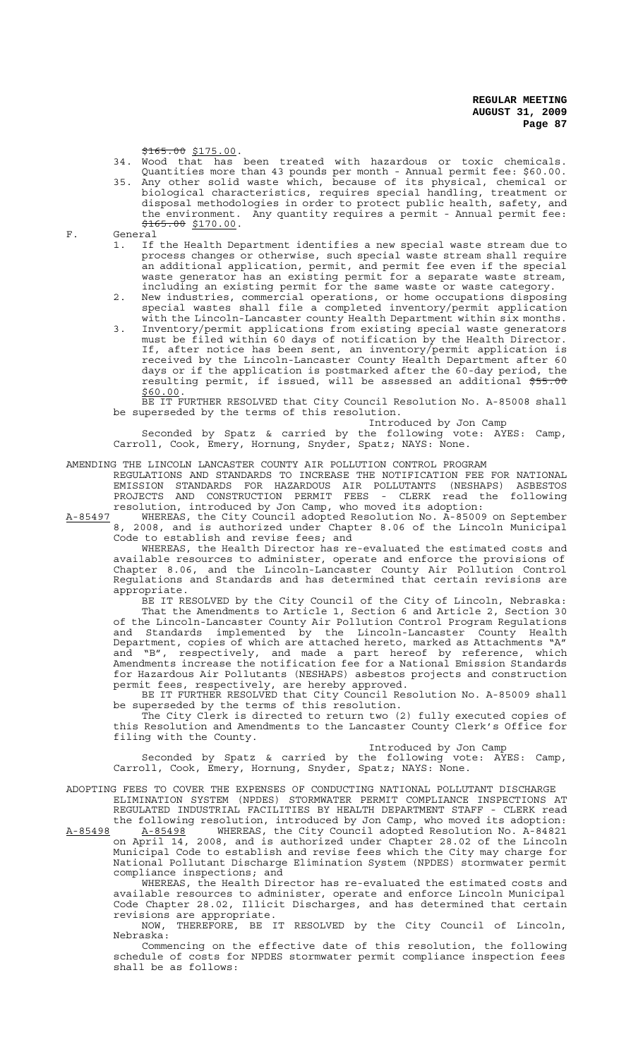\$165.00 \$175.00.

- 34. Wood that has been treated with hazardous or toxic chemicals. Quantities more than 43 pounds per month - Annual permit fee: \$60.00.
- 35. Any other solid waste which, because of its physical, chemical or biological characteristics, requires special handling, treatment or disposal methodologies in order to protect public health, safety, and the environment. Any quantity requires a permit - Annual permit fee:  $$165.00 \S170.00$ .

F. General

- 1. If the Health Department identifies a new special waste stream due to process changes or otherwise, such special waste stream shall require an additional application, permit, and permit fee even if the special waste generator has an existing permit for a separate waste stream, including an existing permit for the same waste or waste category.
- 2. New industries, commercial operations, or home occupations disposing special wastes shall file a completed inventory/permit application with the Lincoln-Lancaster county Health Department within six months.
- 3. Inventory/permit applications from existing special waste generators must be filed within 60 days of notification by the Health Director. If, after notice has been sent, an inventory/permit application is received by the Lincoln-Lancaster County Health Department after 60 days or if the application is postmarked after the 60-day period, the resulting permit, if issued, will be assessed an additional  $$55.00$ \$60.00.
- BE IT FURTHER RESOLVED that City Council Resolution No. A-85008 shall be superseded by the terms of this resolution.

Introduced by Jon Camp

Seconded by Spatz & carried by the following vote: AYES: Camp, Carroll, Cook, Emery, Hornung, Snyder, Spatz; NAYS: None.

## AMENDING THE LINCOLN LANCASTER COUNTY AIR POLLUTION CONTROL PROGRAM

REGULATIONS AND STANDARDS TO INCREASE THE NOTIFICATION FEE FOR NATIONAL EMISSION STANDARDS FOR HAZARDOUS AIR POLLUTANTS (NESHAPS) ASBESTOS PROJECTS AND CONSTRUCTION PERMIT FEES - CLERK read the following resolution, introduced by Jon Camp, who moved its adoption:

A-85497 WHEREAS, the City Council adopted Resolution No. A-85009 on September 8, 2008, and is authorized under Chapter 8.06 of the Lincoln Municipal Code to establish and revise fees; and

WHEREAS, the Health Director has re-evaluated the estimated costs and available resources to administer, operate and enforce the provisions of Chapter 8.06, and the Lincoln-Lancaster County Air Pollution Control Regulations and Standards and has determined that certain revisions are appropriate.

BE IT RESOLVED by the City Council of the City of Lincoln, Nebraska: That the Amendments to Article 1, Section 6 and Article 2, Section 30 of the Lincoln-Lancaster County Air Pollution Control Program Regulations and Standards implemented by the Lincoln-Lancaster County Health Department, copies of which are attached hereto, marked as Attachments "A" and "B", respectively, and made a part hereof by reference, which Amendments increase the notification fee for a National Emission Standards for Hazardous Air Pollutants (NESHAPS) asbestos projects and construction permit fees, respectively, are hereby approved.

BE IT FURTHER RESOLVED that City Council Resolution No. A-85009 shall be superseded by the terms of this resolution.

The City Clerk is directed to return two (2) fully executed copies of this Resolution and Amendments to the Lancaster County Clerk's Office for filing with the County.

## Introduced by Jon Camp

Seconded by Spatz & carried by the following vote: AYES: Camp, Carroll, Cook, Emery, Hornung, Snyder, Spatz; NAYS: None.

ADOPTING FEES TO COVER THE EXPENSES OF CONDUCTING NATIONAL POLLUTANT DISCHARGE ELIMINATION SYSTEM (NPDES) STORMWATER PERMIT COMPLIANCE INSPECTIONS AT

REGULATED INDUSTRIAL FACILITIES BY HEALTH DEPARTMENT STAFF - CLERK read the following resolution, introduced by Jon Camp, who moved its adoption: A-85498 A-85498 WHEREAS, the City Council adopted Resolution No. A-84821 on April 14, 2008, and is authorized under Chapter 28.02 of the Lincoln Municipal Code to establish and revise fees which the City may charge for National Pollutant Discharge Elimination System (NPDES) stormwater permit

compliance inspections; and WHEREAS, the Health Director has re-evaluated the estimated costs and available resources to administer, operate and enforce Lincoln Municipal Code Chapter 28.02, Illicit Discharges, and has determined that certain revisions are appropriate.<br>NOW, THEREFORE, BE I

THEREFORE, BE IT RESOLVED by the City Council of Lincoln, Nebraska:

Commencing on the effective date of this resolution, the following schedule of costs for NPDES stormwater permit compliance inspection fees shall be as follows: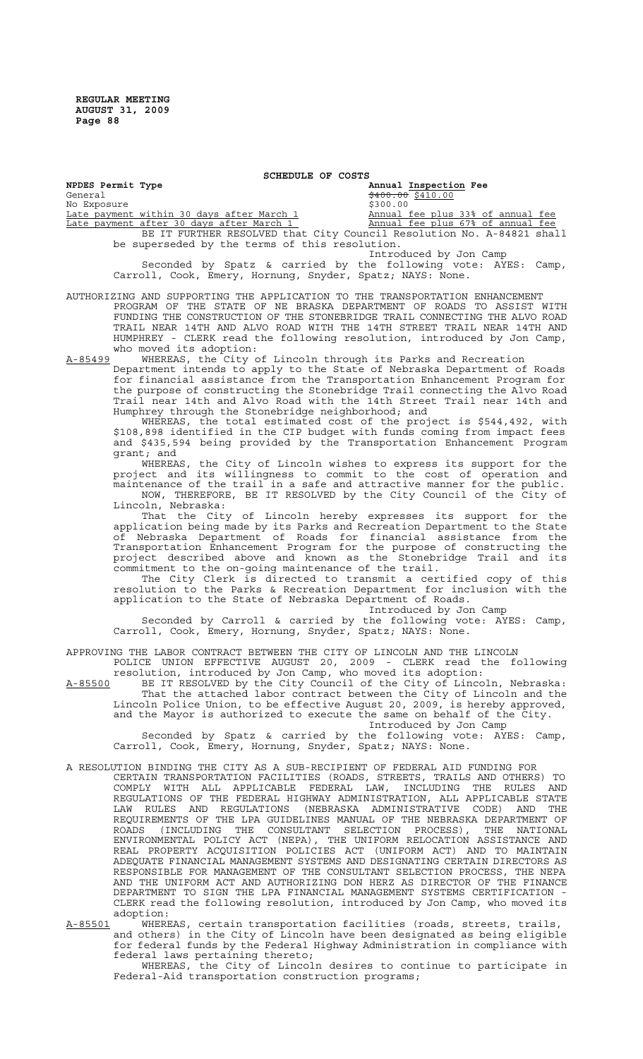| NPDES Permit Type                                                     | Annual Inspection Fee             |
|-----------------------------------------------------------------------|-----------------------------------|
| General                                                               |                                   |
| No Exposure                                                           | \$300.00                          |
| Late payment within 30 days after March 1                             | Annual fee plus 33% of annual fee |
| <u>Late payment after 30 days after March 1</u>                       | Annual fee plus 67% of annual fee |
| BE IT FURTHER RESOLVED that City Council Resolution No. A-84821 shall |                                   |
| be superseded by the terms of this resolution.                        |                                   |
|                                                                       | Introduced by Jon Camp            |
| Seconded by Spatz & carried by the following vote: AYES: Camp,        |                                   |

**SCHEDULE OF COSTS**

AUTHORIZING AND SUPPORTING THE APPLICATION TO THE TRANSPORTATION ENHANCEMENT PROGRAM OF THE STATE OF NE BRASKA DEPARTMENT OF ROADS TO ASSIST WITH FUNDING THE CONSTRUCTION OF THE STONEBRIDGE TRAIL CONNECTING THE ALVO ROAD TRAIL NEAR 14TH AND ALVO ROAD WITH THE 14TH STREET TRAIL NEAR 14TH AND HUMPHREY - CLERK read the following resolution, introduced by Jon Camp, who moved its adoption:

Carroll, Cook, Emery, Hornung, Snyder, Spatz; NAYS: None.

A-85499 WHEREAS, the City of Lincoln through its Parks and Recreation Department intends to apply to the State of Nebraska Department of Roads for financial assistance from the Transportation Enhancement Program for the purpose of constructing the Stonebridge Trail connecting the Alvo Road Trail near 14th and Alvo Road with the 14th Street Trail near 14th and Humphrey through the Stonebridge neighborhood; and

WHEREAS, the total estimated cost of the project is \$544,492, with \$108,898 identified in the CIP budget with funds coming from impact fees and \$435,594 being provided by the Transportation Enhancement Program grant; and

WHEREAS, the City of Lincoln wishes to express its support for the project and its willingness to commit to the cost of operation and maintenance of the trail in a safe and attractive manner for the public. NOW, THEREFORE, BE IT RESOLVED by the City Council of the City of Lincoln, Nebraska:

That the City of Lincoln hereby expresses its support for the application being made by its Parks and Recreation Department to the State of Nebraska Department of Roads for financial assistance from the Transportation Enhancement Program for the purpose of constructing the project described above and known as the Stonebridge Trail and its commitment to the on-going maintenance of the trail.

The City Clerk is directed to transmit a certified copy of this resolution to the Parks & Recreation Department for inclusion with the application to the State of Nebraska Department of Roads.

Introduced by Jon Camp

Seconded by Carroll & carried by the following vote: AYES: Camp, Carroll, Cook, Emery, Hornung, Snyder, Spatz; NAYS: None.

APPROVING THE LABOR CONTRACT BETWEEN THE CITY OF LINCOLN AND THE LINCOLN

POLICE UNION EFFECTIVE AUGUST 20, 2009 - CLERK read the following resolution, introduced by Jon Camp, who moved its adoption:

A-85500 BE IT RESOLVED by the City Council of the City of Lincoln, Nebraska: That the attached labor contract between the City of Lincoln and the Lincoln Police Union, to be effective August 20, 2009, is hereby approved, and the Mayor is authorized to execute the same on behalf of the City. Introduced by Jon Camp

Seconded by Spatz & carried by the following vote: AYES: Camp, Carroll, Cook, Emery, Hornung, Snyder, Spatz; NAYS: None.

#### A RESOLUTION BINDING THE CITY AS A SUB-RECIPIENT OF FEDERAL AID FUNDING FOR

CERTAIN TRANSPORTATION FACILITIES (ROADS, STREETS, TRAILS AND OTHERS) TO COMPLY WITH ALL APPLICABLE FEDERAL LAW, INCLUDING THE RULES AND REGULATIONS OF THE FEDERAL HIGHWAY ADMINISTRATION, ALL APPLICABLE STATE LAW RULES AND REGULATIONS (NEBRASKA ADMINISTRATIVE CODE) AND THE REQUIREMENTS OF THE LPA GUIDELINES MANUAL OF THE NEBRASKA DEPARTMENT OF ROADS (INCLUDING THE CONSULTANT SELECTION PROCESS), THE NATIONAL ENVIRONMENTAL POLICY ACT (NEPA), THE UNIFORM RELOCATION ASSISTANCE AND REAL PROPERTY ACQUISITION POLICIES ACT (UNIFORM ACT) AND TO MAINTAIN ADEQUATE FINANCIAL MANAGEMENT SYSTEMS AND DESIGNATING CERTAIN DIRECTORS AS RESPONSIBLE FOR MANAGEMENT OF THE CONSULTANT SELECTION PROCESS, THE NEPA AND THE UNIFORM ACT AND AUTHORIZING DON HERZ AS DIRECTOR OF THE FINANCE DEPARTMENT TO SIGN THE LPA FINANCIAL MANAGEMENT SYSTEMS CERTIFICATION - CLERK read the following resolution, introduced by Jon Camp, who moved its adoption:

A-85501 WHEREAS, certain transportation facilities (roads, streets, trails, and others) in the City of Lincoln have been designated as being eligible for federal funds by the Federal Highway Administration in compliance with federal laws pertaining thereto;

WHEREAS, the City of Lincoln desires to continue to participate in Federal-Aid transportation construction programs;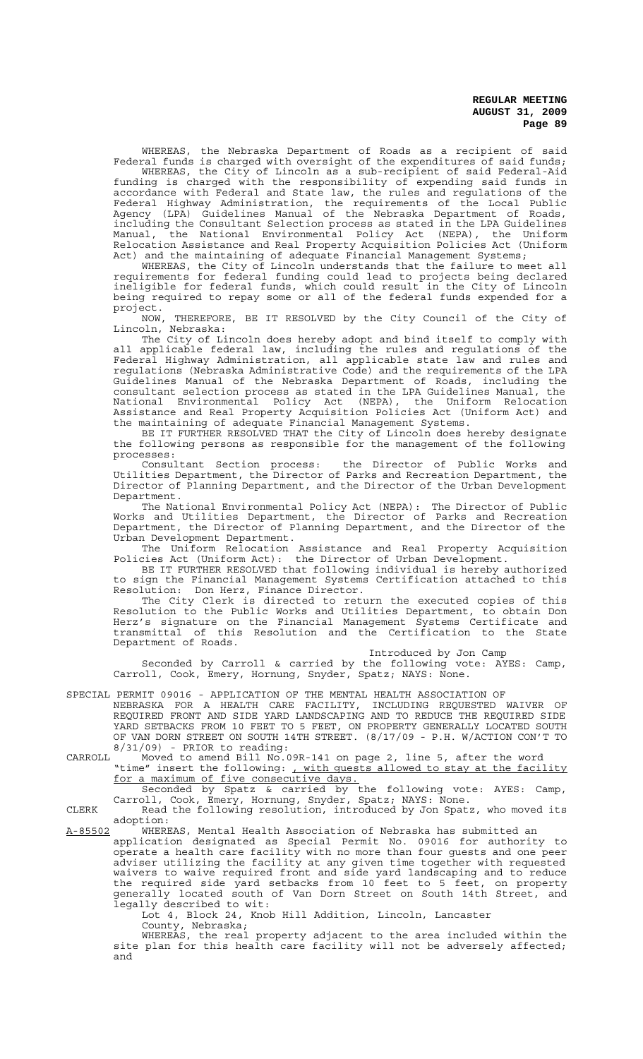WHEREAS, the Nebraska Department of Roads as a recipient of said Federal funds is charged with oversight of the expenditures of said funds;

WHEREAS, the City of Lincoln as a sub-recipient of said Federal-Aid funding is charged with the responsibility of expending said funds in accordance with Federal and State law, the rules and regulations of the Federal Highway Administration, the requirements of the Local Public Agency (LPA) Guidelines Manual of the Nebraska Department of Roads, including the Consultant Selection process as stated in the LPA Guidelines Manual, the National Environmental Policy Act (NEPA), the Uniform Relocation Assistance and Real Property Acquisition Policies Act (Uniform Act) and the maintaining of adequate Financial Management Systems;

WHEREAS, the City of Lincoln understands that the failure to meet all requirements for federal funding could lead to projects being declared ineligible for federal funds, which could result in the City of Lincoln being required to repay some or all of the federal funds expended for a project.

NOW, THEREFORE, BE IT RESOLVED by the City Council of the City of Lincoln, Nebraska:

The City of Lincoln does hereby adopt and bind itself to comply with all applicable federal law, including the rules and regulations of the Federal Highway Administration, all applicable state law and rules and regulations (Nebraska Administrative Code) and the requirements of the LPA Guidelines Manual of the Nebraska Department of Roads, including the consultant selection process as stated in the LPA Guidelines Manual, the consultant selection process as stated in the LPA Guidelines Manual, the<br>National Environmental Policy Act (NEPA), the Uniform Relocation Assistance and Real Property Acquisition Policies Act (Uniform Act) and the maintaining of adequate Financial Management Systems.

BE IT FURTHER RESOLVED THAT the City of Lincoln does hereby designate the following persons as responsible for the management of the following processes:

Consultant Section process: the Director of Public Works and Utilities Department, the Director of Parks and Recreation Department, the Director of Planning Department, and the Director of the Urban Development Department.

The National Environmental Policy Act (NEPA): The Director of Public Works and Utilities Department, the Director of Parks and Recreation Department, the Director of Planning Department, and the Director of the Urban Development Department.

The Uniform Relocation Assistance and Real Property Acquisition Policies Act (Uniform Act): the Director of Urban Development.

BE IT FURTHER RESOLVED that following individual is hereby authorized to sign the Financial Management Systems Certification attached to this Resolution: Don Herz, Finance Director.

 The City Clerk is directed to return the executed copies of this Resolution to the Public Works and Utilities Department, to obtain Don Herz's signature on the Financial Management Systems Certificate and transmittal of this Resolution and the Certification to the State Department of Roads.

#### Introduced by Jon Camp

Seconded by Carroll & carried by the following vote: AYES: Camp, Carroll, Cook, Emery, Hornung, Snyder, Spatz; NAYS: None.

SPECIAL PERMIT 09016 - APPLICATION OF THE MENTAL HEALTH ASSOCIATION OF NEBRASKA FOR A HEALTH CARE FACILITY, INCLUDING REQUESTED WAIVER OF REQUIRED FRONT AND SIDE YARD LANDSCAPING AND TO REDUCE THE REQUIRED SIDE YARD SETBACKS FROM 10 FEET TO 5 FEET, ON PROPERTY GENERALLY LOCATED SOUTH OF VAN DORN STREET ON SOUTH 14TH STREET. (8/17/09 - P.H. W/ACTION CON'T TO 8/31/09) - PRIOR to reading:

CARROLL Moved to amend Bill No.09R-141 on page 2, line 5, after the word "time" insert the following: , with quests allowed to stay at the facility for a maximum of five consecutive days.

Seconded by Spatz & carried by the following vote: AYES: Camp, Carroll, Cook, Emery, Hornung, Snyder, Spatz; NAYS: None.

CLERK Read the following resolution, introduced by Jon Spatz, who moved its adoption:

A-85502 WHEREAS, Mental Health Association of Nebraska has submitted an application designated as Special Permit No. 09016 for authority to operate a health care facility with no more than four guests and one peer

adviser utilizing the facility at any given time together with requested waivers to waive required front and side yard landscaping and to reduce the required side yard setbacks from 10 feet to 5 feet, on property generally located south of Van Dorn Street on South 14th Street, and legally described to wit:

Lot 4, Block 24, Knob Hill Addition, Lincoln, Lancaster County, Nebraska;

WHEREAS, the real property adjacent to the area included within the site plan for this health care facility will not be adversely affected; and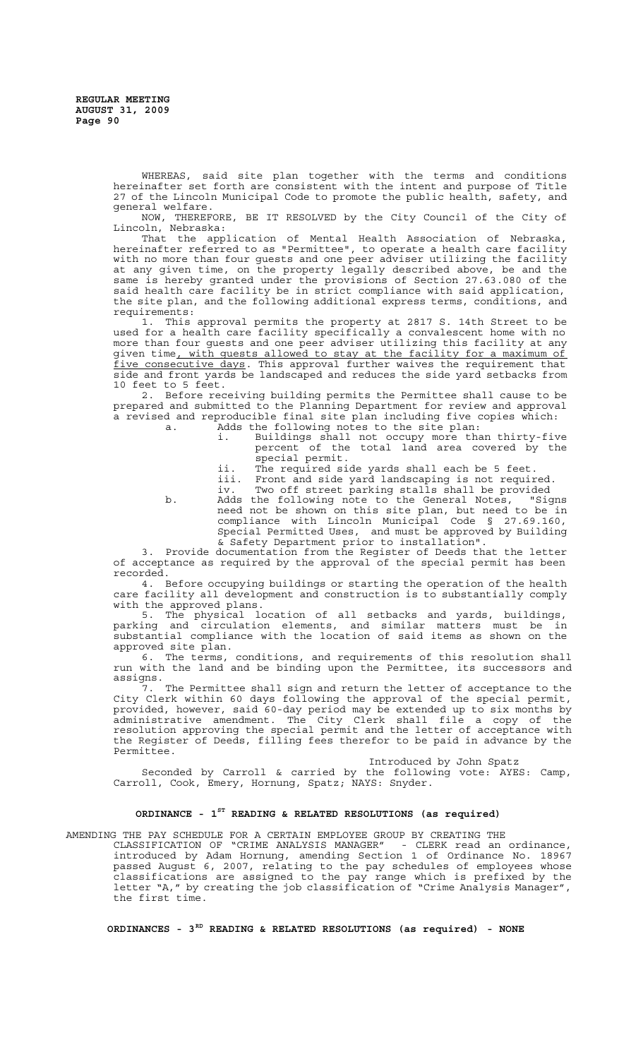WHEREAS, said site plan together with the terms and conditions hereinafter set forth are consistent with the intent and purpose of Title 27 of the Lincoln Municipal Code to promote the public health, safety, and general welfare.

NOW, THEREFORE, BE IT RESOLVED by the City Council of the City of Lincoln, Nebraska:

That the application of Mental Health Association of Nebraska, hereinafter referred to as "Permittee", to operate a health care facility with no more than four guests and one peer adviser utilizing the facility at any given time, on the property legally described above, be and the same is hereby granted under the provisions of Section 27.63.080 of the said health care facility be in strict compliance with said application, the site plan, and the following additional express terms, conditions, and requirements:

1. This approval permits the property at 2817 S. 14th Street to be used for a health care facility specifically a convalescent home with no more than four guests and one peer adviser utilizing this facility at any given time, with quests allowed to stay at the facility for a maximum of five consecutive days. This approval further waives the requirement that side and front yards be landscaped and reduces the side yard setbacks from 10 feet to 5 feet.

2. Before receiving building permits the Permittee shall cause to be prepared and submitted to the Planning Department for review and approval a revised and reproducible final site plan including five copies which:<br>a. Adds the following notes to the site plan:

- Adds the following notes to the site plan:<br>i. Buildings shall not occupy more tha i. Buildings shall not occupy more than thirty-five percent of the total land area covered by the special permit.
	-
	- ii. The required side yards shall each be 5 feet.<br>iii. Front and side yard landscaping is not requir iii. Front and side yard landscaping is not required.<br>iv Two off street parking stalls shall be provided
	- Two off street parking stalls shall be provided

b. Adds the following note to the General Notes, "Signs<br>need not be shown on this site plan, but need to be in need not be shown on this site plan, but need to be in compliance with Lincoln Municipal Code § 27.69.160, Special Permitted Uses, and must be approved by Building & Safety Department prior to installation".

3. Provide documentation from the Register of Deeds that the letter of acceptance as required by the approval of the special permit has been recorded.

4. Before occupying buildings or starting the operation of the health care facility all development and construction is to substantially comply with the approved plans.

5. The physical location of all setbacks and yards, buildings, parking and circulation elements, and similar matters must be in substantial compliance with the location of said items as shown on the approved site plan.

6. The terms, conditions, and requirements of this resolution shall run with the land and be binding upon the Permittee, its successors and assigns.

7. The Permittee shall sign and return the letter of acceptance to the City Clerk within 60 days following the approval of the special permit, provided, however, said 60-day period may be extended up to six months by administrative amendment. The City Clerk shall file a copy of the resolution approving the special permit and the letter of acceptance with the Register of Deeds, filling fees therefor to be paid in advance by the Permittee.

Introduced by John Spatz

Seconded by Carroll & carried by the following vote: AYES: Camp, Carroll, Cook, Emery, Hornung, Spatz; NAYS: Snyder.

# **ORDINANCE - 1ST READING & RELATED RESOLUTIONS (as required)**

AMENDING THE PAY SCHEDULE FOR A CERTAIN EMPLOYEE GROUP BY CREATING THE CLASSIFICATION OF "CRIME ANALYSIS MANAGER" - CLERK read an ordinance, introduced by Adam Hornung, amending Section 1 of Ordinance No. 18967 passed August 6, 2007, relating to the pay schedules of employees whose classifications are assigned to the pay range which is prefixed by the letter "A," by creating the job classification of "Crime Analysis Manager", the first time.

**ORDINANCES - 3RD READING & RELATED RESOLUTIONS (as required) - NONE**